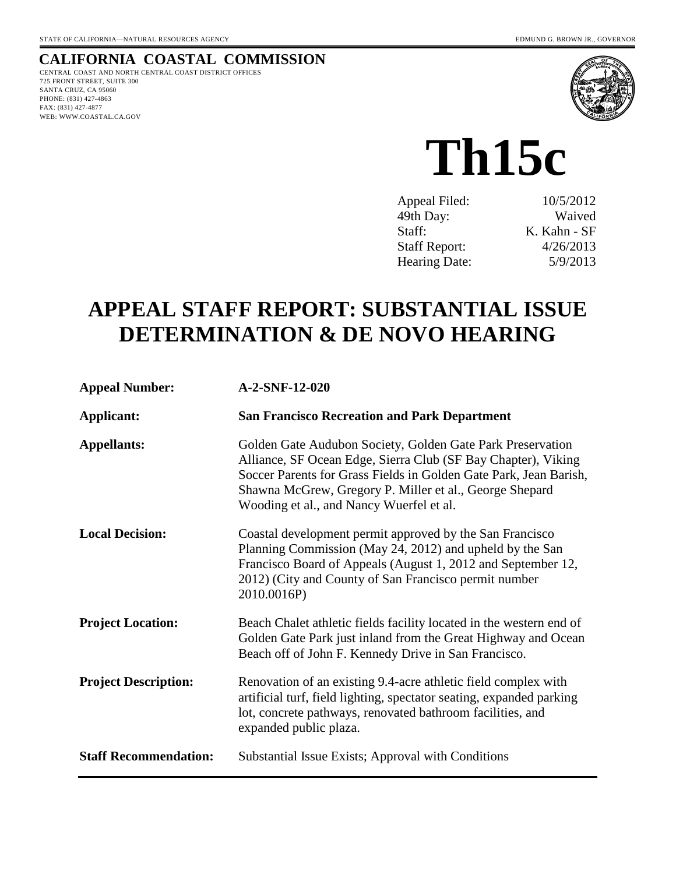### **CALIFORNIA COASTAL COMMISSION**

CENTRAL COAST AND NORTH CENTRAL COAST DISTRICT OFFICES 725 FRONT STREET, SUITE 300 SANTA CRUZ, CA 95060 PHONE: (831) 427-4863 FAX: (831) 427-4877 WEB: WWW.COASTAL.CA.GOV



**Th15c**

| 10/5/2012    |
|--------------|
| Waived       |
| K. Kahn - SF |
| 4/26/2013    |
| 5/9/2013     |
|              |

# **APPEAL STAFF REPORT: SUBSTANTIAL ISSUE DETERMINATION & DE NOVO HEARING**

| <b>Appeal Number:</b>        | A-2-SNF-12-020                                                                                                                                                                                                                                                                                          |
|------------------------------|---------------------------------------------------------------------------------------------------------------------------------------------------------------------------------------------------------------------------------------------------------------------------------------------------------|
| Applicant:                   | <b>San Francisco Recreation and Park Department</b>                                                                                                                                                                                                                                                     |
| <b>Appellants:</b>           | Golden Gate Audubon Society, Golden Gate Park Preservation<br>Alliance, SF Ocean Edge, Sierra Club (SF Bay Chapter), Viking<br>Soccer Parents for Grass Fields in Golden Gate Park, Jean Barish,<br>Shawna McGrew, Gregory P. Miller et al., George Shepard<br>Wooding et al., and Nancy Wuerfel et al. |
| <b>Local Decision:</b>       | Coastal development permit approved by the San Francisco<br>Planning Commission (May 24, 2012) and upheld by the San<br>Francisco Board of Appeals (August 1, 2012 and September 12,<br>2012) (City and County of San Francisco permit number<br>2010.0016P)                                            |
| <b>Project Location:</b>     | Beach Chalet athletic fields facility located in the western end of<br>Golden Gate Park just inland from the Great Highway and Ocean<br>Beach off of John F. Kennedy Drive in San Francisco.                                                                                                            |
| <b>Project Description:</b>  | Renovation of an existing 9.4-acre athletic field complex with<br>artificial turf, field lighting, spectator seating, expanded parking<br>lot, concrete pathways, renovated bathroom facilities, and<br>expanded public plaza.                                                                          |
| <b>Staff Recommendation:</b> | Substantial Issue Exists; Approval with Conditions                                                                                                                                                                                                                                                      |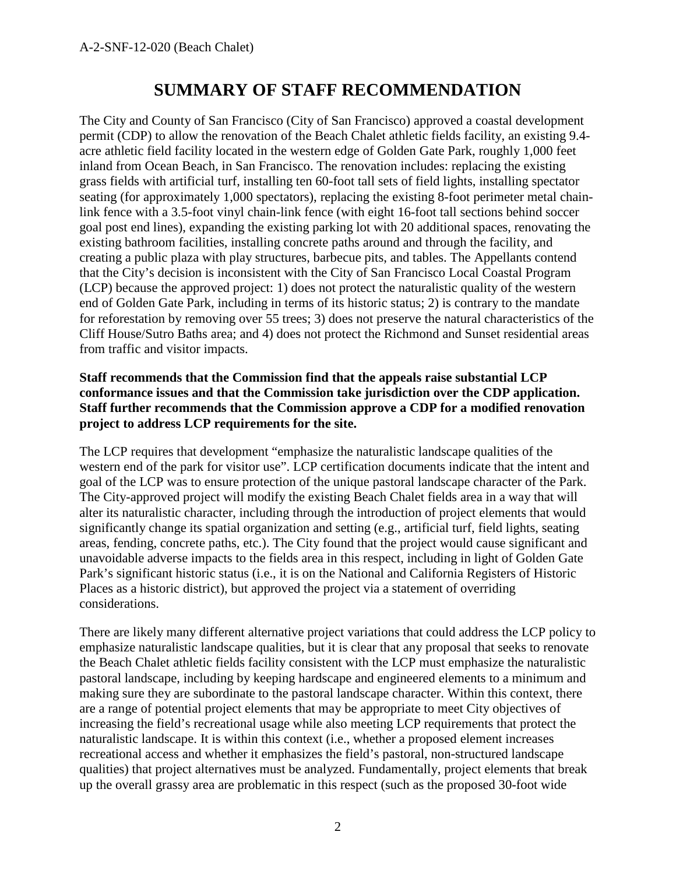## **SUMMARY OF STAFF RECOMMENDATION**

The City and County of San Francisco (City of San Francisco) approved a coastal development permit (CDP) to allow the renovation of the Beach Chalet athletic fields facility, an existing 9.4 acre athletic field facility located in the western edge of Golden Gate Park, roughly 1,000 feet inland from Ocean Beach, in San Francisco. The renovation includes: replacing the existing grass fields with artificial turf, installing ten 60-foot tall sets of field lights, installing spectator seating (for approximately 1,000 spectators), replacing the existing 8-foot perimeter metal chainlink fence with a 3.5-foot vinyl chain-link fence (with eight 16-foot tall sections behind soccer goal post end lines), expanding the existing parking lot with 20 additional spaces, renovating the existing bathroom facilities, installing concrete paths around and through the facility, and creating a public plaza with play structures, barbecue pits, and tables. The Appellants contend that the City's decision is inconsistent with the City of San Francisco Local Coastal Program (LCP) because the approved project: 1) does not protect the naturalistic quality of the western end of Golden Gate Park, including in terms of its historic status; 2) is contrary to the mandate for reforestation by removing over 55 trees; 3) does not preserve the natural characteristics of the Cliff House/Sutro Baths area; and 4) does not protect the Richmond and Sunset residential areas from traffic and visitor impacts.

#### **Staff recommends that the Commission find that the appeals raise substantial LCP conformance issues and that the Commission take jurisdiction over the CDP application. Staff further recommends that the Commission approve a CDP for a modified renovation project to address LCP requirements for the site.**

The LCP requires that development "emphasize the naturalistic landscape qualities of the western end of the park for visitor use". LCP certification documents indicate that the intent and goal of the LCP was to ensure protection of the unique pastoral landscape character of the Park. The City-approved project will modify the existing Beach Chalet fields area in a way that will alter its naturalistic character, including through the introduction of project elements that would significantly change its spatial organization and setting (e.g., artificial turf, field lights, seating areas, fending, concrete paths, etc.). The City found that the project would cause significant and unavoidable adverse impacts to the fields area in this respect, including in light of Golden Gate Park's significant historic status (i.e., it is on the National and California Registers of Historic Places as a historic district), but approved the project via a statement of overriding considerations.

There are likely many different alternative project variations that could address the LCP policy to emphasize naturalistic landscape qualities, but it is clear that any proposal that seeks to renovate the Beach Chalet athletic fields facility consistent with the LCP must emphasize the naturalistic pastoral landscape, including by keeping hardscape and engineered elements to a minimum and making sure they are subordinate to the pastoral landscape character. Within this context, there are a range of potential project elements that may be appropriate to meet City objectives of increasing the field's recreational usage while also meeting LCP requirements that protect the naturalistic landscape. It is within this context (i.e., whether a proposed element increases recreational access and whether it emphasizes the field's pastoral, non-structured landscape qualities) that project alternatives must be analyzed. Fundamentally, project elements that break up the overall grassy area are problematic in this respect (such as the proposed 30-foot wide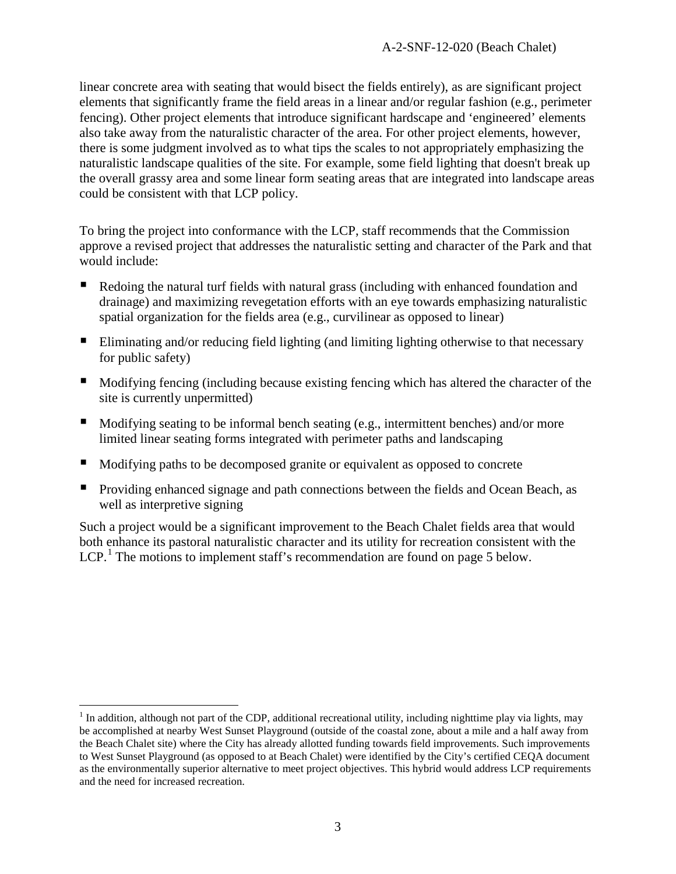linear concrete area with seating that would bisect the fields entirely), as are significant project elements that significantly frame the field areas in a linear and/or regular fashion (e.g., perimeter fencing). Other project elements that introduce significant hardscape and 'engineered' elements also take away from the naturalistic character of the area. For other project elements, however, there is some judgment involved as to what tips the scales to not appropriately emphasizing the naturalistic landscape qualities of the site. For example, some field lighting that doesn't break up the overall grassy area and some linear form seating areas that are integrated into landscape areas could be consistent with that LCP policy.

To bring the project into conformance with the LCP, staff recommends that the Commission approve a revised project that addresses the naturalistic setting and character of the Park and that would include:

- Redoing the natural turf fields with natural grass (including with enhanced foundation and drainage) and maximizing revegetation efforts with an eye towards emphasizing naturalistic spatial organization for the fields area (e.g., curvilinear as opposed to linear)
- Eliminating and/or reducing field lighting (and limiting lighting otherwise to that necessary for public safety)
- Modifying fencing (including because existing fencing which has altered the character of the site is currently unpermitted)
- $\blacksquare$  Modifying seating to be informal bench seating (e.g., intermittent benches) and/or more limited linear seating forms integrated with perimeter paths and landscaping
- Modifying paths to be decomposed granite or equivalent as opposed to concrete
- **Providing enhanced signage and path connections between the fields and Ocean Beach, as** well as interpretive signing

Such a project would be a significant improvement to the Beach Chalet fields area that would both enhance its pastoral naturalistic character and its utility for recreation consistent with the LCP.<sup>[1](#page-2-0)</sup> The motions to implement staff's recommendation are found on page 5 below.

<span id="page-2-0"></span> $1$  In addition, although not part of the CDP, additional recreational utility, including nighttime play via lights, may be accomplished at nearby West Sunset Playground (outside of the coastal zone, about a mile and a half away from the Beach Chalet site) where the City has already allotted funding towards field improvements. Such improvements to West Sunset Playground (as opposed to at Beach Chalet) were identified by the City's certified CEQA document as the environmentally superior alternative to meet project objectives. This hybrid would address LCP requirements and the need for increased recreation.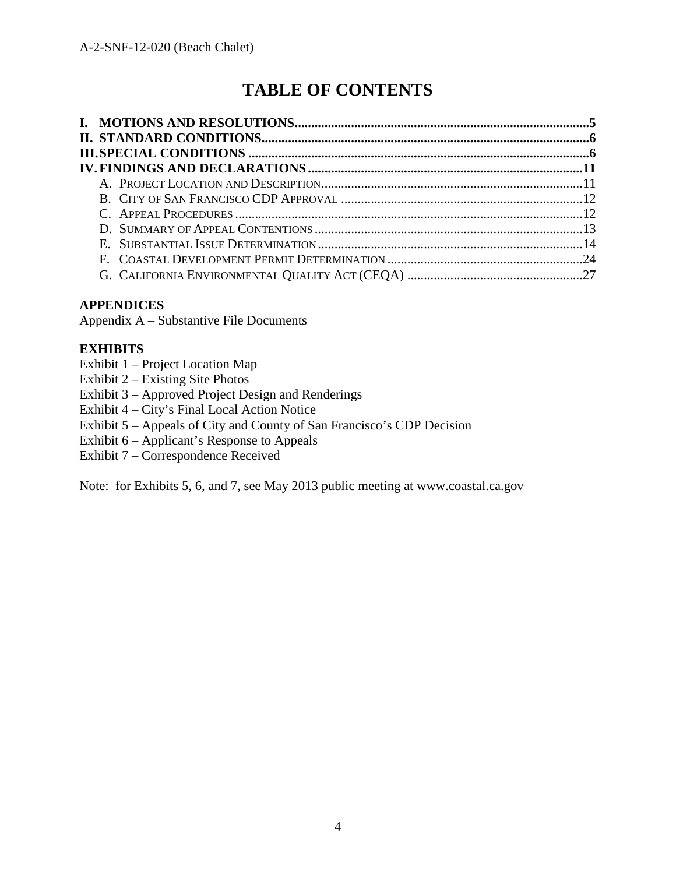# **TABLE OF CONTENTS**

#### **APPENDICES**

Appendix A – Substantive File Documents

#### **EXHIBITS**

- Exhibit 1 Project Location Map
- Exhibit 2 Existing Site Photos
- Exhibit 3 Approved Project Design and Renderings
- Exhibit 4 City's Final Local Action Notice
- Exhibit 5 Appeals of City and County of San Francisco's CDP Decision
- Exhibit  $6 -$  Applicant's Response to Appeals
- Exhibit 7 Correspondence Received

Note: for Exhibits 5, 6, and 7, see May 2013 public meeting at www.coastal.ca.gov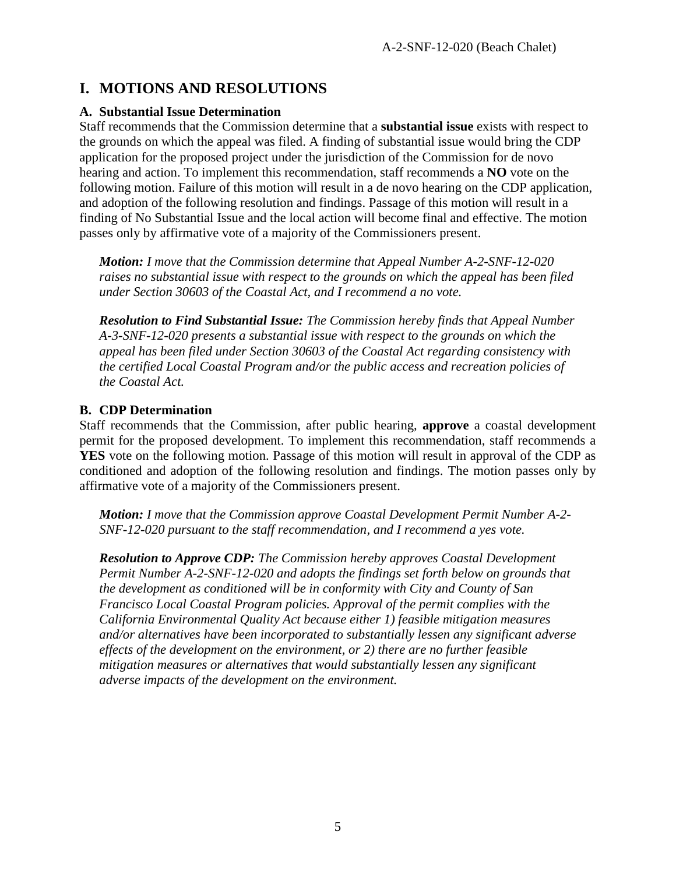### **I. MOTIONS AND RESOLUTIONS**

#### **A. Substantial Issue Determination**

Staff recommends that the Commission determine that a **substantial issue** exists with respect to the grounds on which the appeal was filed. A finding of substantial issue would bring the CDP application for the proposed project under the jurisdiction of the Commission for de novo hearing and action. To implement this recommendation, staff recommends a **NO** vote on the following motion. Failure of this motion will result in a de novo hearing on the CDP application, and adoption of the following resolution and findings. Passage of this motion will result in a finding of No Substantial Issue and the local action will become final and effective. The motion passes only by affirmative vote of a majority of the Commissioners present.

*Motion: I move that the Commission determine that Appeal Number A-2-SNF-12-020 raises no substantial issue with respect to the grounds on which the appeal has been filed under Section 30603 of the Coastal Act, and I recommend a no vote.* 

*Resolution to Find Substantial Issue: The Commission hereby finds that Appeal Number A-3-SNF-12-020 presents a substantial issue with respect to the grounds on which the appeal has been filed under Section 30603 of the Coastal Act regarding consistency with the certified Local Coastal Program and/or the public access and recreation policies of the Coastal Act.*

#### **B. CDP Determination**

Staff recommends that the Commission, after public hearing, **approve** a coastal development permit for the proposed development. To implement this recommendation, staff recommends a **YES** vote on the following motion. Passage of this motion will result in approval of the CDP as conditioned and adoption of the following resolution and findings. The motion passes only by affirmative vote of a majority of the Commissioners present.

*Motion: I move that the Commission approve Coastal Development Permit Number A-2- SNF-12-020 pursuant to the staff recommendation, and I recommend a yes vote.* 

*Resolution to Approve CDP: The Commission hereby approves Coastal Development Permit Number A-2-SNF-12-020 and adopts the findings set forth below on grounds that the development as conditioned will be in conformity with City and County of San Francisco Local Coastal Program policies. Approval of the permit complies with the California Environmental Quality Act because either 1) feasible mitigation measures and/or alternatives have been incorporated to substantially lessen any significant adverse effects of the development on the environment, or 2) there are no further feasible mitigation measures or alternatives that would substantially lessen any significant adverse impacts of the development on the environment.*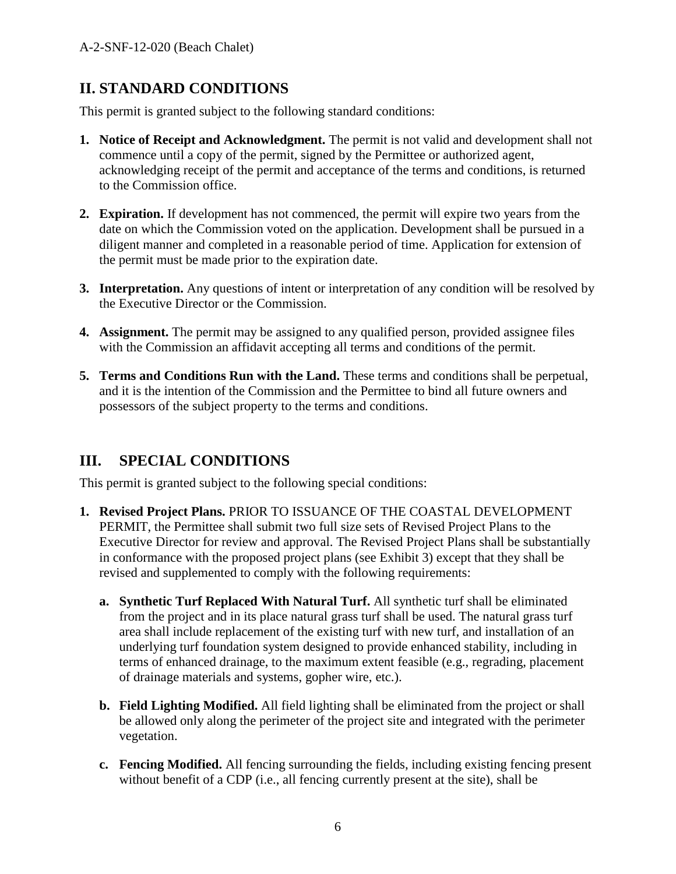### **II. STANDARD CONDITIONS**

This permit is granted subject to the following standard conditions:

- **1. Notice of Receipt and Acknowledgment.** The permit is not valid and development shall not commence until a copy of the permit, signed by the Permittee or authorized agent, acknowledging receipt of the permit and acceptance of the terms and conditions, is returned to the Commission office.
- **2. Expiration.** If development has not commenced, the permit will expire two years from the date on which the Commission voted on the application. Development shall be pursued in a diligent manner and completed in a reasonable period of time. Application for extension of the permit must be made prior to the expiration date.
- **3. Interpretation.** Any questions of intent or interpretation of any condition will be resolved by the Executive Director or the Commission.
- **4. Assignment.** The permit may be assigned to any qualified person, provided assignee files with the Commission an affidavit accepting all terms and conditions of the permit.
- **5. Terms and Conditions Run with the Land.** These terms and conditions shall be perpetual, and it is the intention of the Commission and the Permittee to bind all future owners and possessors of the subject property to the terms and conditions.

### **III. SPECIAL CONDITIONS**

This permit is granted subject to the following special conditions:

- **1. Revised Project Plans.** PRIOR TO ISSUANCE OF THE COASTAL DEVELOPMENT PERMIT, the Permittee shall submit two full size sets of Revised Project Plans to the Executive Director for review and approval. The Revised Project Plans shall be substantially in conformance with the proposed project plans (see Exhibit 3) except that they shall be revised and supplemented to comply with the following requirements:
	- **a. Synthetic Turf Replaced With Natural Turf.** All synthetic turf shall be eliminated from the project and in its place natural grass turf shall be used. The natural grass turf area shall include replacement of the existing turf with new turf, and installation of an underlying turf foundation system designed to provide enhanced stability, including in terms of enhanced drainage, to the maximum extent feasible (e.g., regrading, placement of drainage materials and systems, gopher wire, etc.).
	- **b. Field Lighting Modified.** All field lighting shall be eliminated from the project or shall be allowed only along the perimeter of the project site and integrated with the perimeter vegetation.
	- **c. Fencing Modified.** All fencing surrounding the fields, including existing fencing present without benefit of a CDP (i.e., all fencing currently present at the site), shall be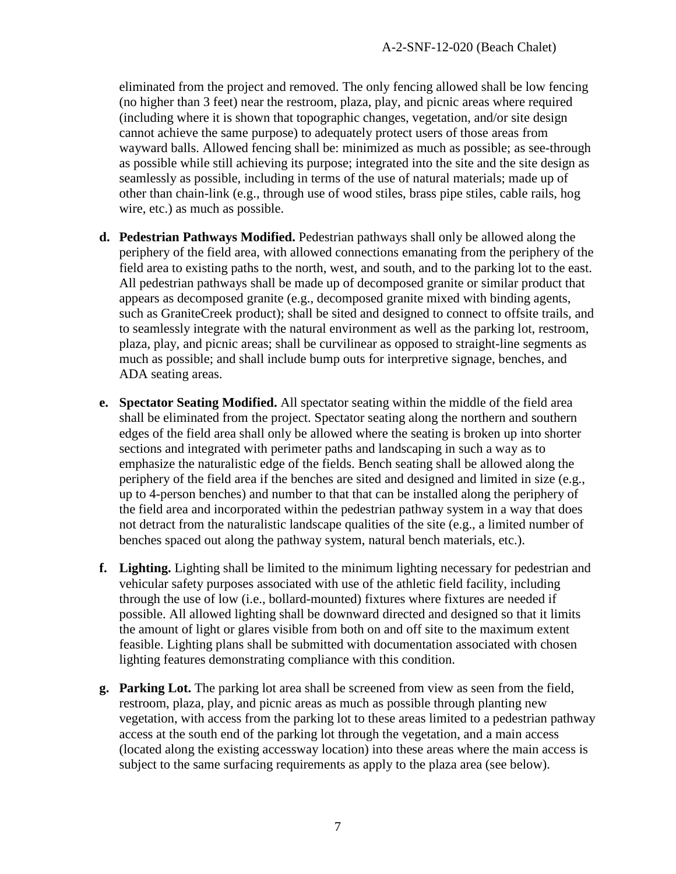eliminated from the project and removed. The only fencing allowed shall be low fencing (no higher than 3 feet) near the restroom, plaza, play, and picnic areas where required (including where it is shown that topographic changes, vegetation, and/or site design cannot achieve the same purpose) to adequately protect users of those areas from wayward balls. Allowed fencing shall be: minimized as much as possible; as see-through as possible while still achieving its purpose; integrated into the site and the site design as seamlessly as possible, including in terms of the use of natural materials; made up of other than chain-link (e.g., through use of wood stiles, brass pipe stiles, cable rails, hog wire, etc.) as much as possible.

- **d. Pedestrian Pathways Modified.** Pedestrian pathways shall only be allowed along the periphery of the field area, with allowed connections emanating from the periphery of the field area to existing paths to the north, west, and south, and to the parking lot to the east. All pedestrian pathways shall be made up of decomposed granite or similar product that appears as decomposed granite (e.g., decomposed granite mixed with binding agents, such as GraniteCreek product); shall be sited and designed to connect to offsite trails, and to seamlessly integrate with the natural environment as well as the parking lot, restroom, plaza, play, and picnic areas; shall be curvilinear as opposed to straight-line segments as much as possible; and shall include bump outs for interpretive signage, benches, and ADA seating areas.
- **e. Spectator Seating Modified.** All spectator seating within the middle of the field area shall be eliminated from the project. Spectator seating along the northern and southern edges of the field area shall only be allowed where the seating is broken up into shorter sections and integrated with perimeter paths and landscaping in such a way as to emphasize the naturalistic edge of the fields. Bench seating shall be allowed along the periphery of the field area if the benches are sited and designed and limited in size (e.g., up to 4-person benches) and number to that that can be installed along the periphery of the field area and incorporated within the pedestrian pathway system in a way that does not detract from the naturalistic landscape qualities of the site (e.g., a limited number of benches spaced out along the pathway system, natural bench materials, etc.).
- **f. Lighting.** Lighting shall be limited to the minimum lighting necessary for pedestrian and vehicular safety purposes associated with use of the athletic field facility, including through the use of low (i.e., bollard-mounted) fixtures where fixtures are needed if possible. All allowed lighting shall be downward directed and designed so that it limits the amount of light or glares visible from both on and off site to the maximum extent feasible. Lighting plans shall be submitted with documentation associated with chosen lighting features demonstrating compliance with this condition.
- **g. Parking Lot.** The parking lot area shall be screened from view as seen from the field, restroom, plaza, play, and picnic areas as much as possible through planting new vegetation, with access from the parking lot to these areas limited to a pedestrian pathway access at the south end of the parking lot through the vegetation, and a main access (located along the existing accessway location) into these areas where the main access is subject to the same surfacing requirements as apply to the plaza area (see below).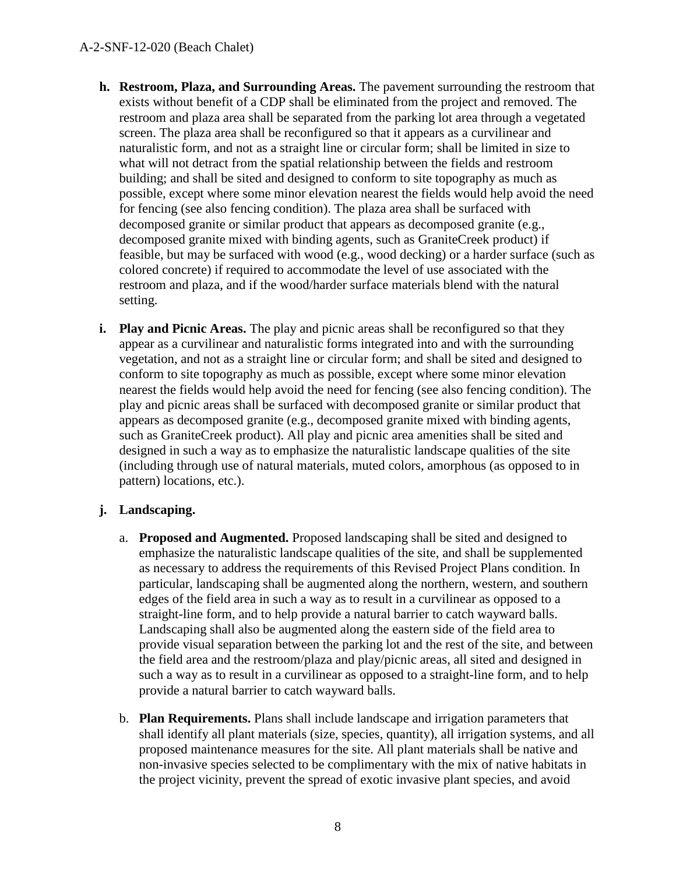- **h. Restroom, Plaza, and Surrounding Areas.** The pavement surrounding the restroom that exists without benefit of a CDP shall be eliminated from the project and removed. The restroom and plaza area shall be separated from the parking lot area through a vegetated screen. The plaza area shall be reconfigured so that it appears as a curvilinear and naturalistic form, and not as a straight line or circular form; shall be limited in size to what will not detract from the spatial relationship between the fields and restroom building; and shall be sited and designed to conform to site topography as much as possible, except where some minor elevation nearest the fields would help avoid the need for fencing (see also fencing condition). The plaza area shall be surfaced with decomposed granite or similar product that appears as decomposed granite (e.g., decomposed granite mixed with binding agents, such as GraniteCreek product) if feasible, but may be surfaced with wood (e.g., wood decking) or a harder surface (such as colored concrete) if required to accommodate the level of use associated with the restroom and plaza, and if the wood/harder surface materials blend with the natural setting.
- **i. Play and Picnic Areas.** The play and picnic areas shall be reconfigured so that they appear as a curvilinear and naturalistic forms integrated into and with the surrounding vegetation, and not as a straight line or circular form; and shall be sited and designed to conform to site topography as much as possible, except where some minor elevation nearest the fields would help avoid the need for fencing (see also fencing condition). The play and picnic areas shall be surfaced with decomposed granite or similar product that appears as decomposed granite (e.g., decomposed granite mixed with binding agents, such as GraniteCreek product). All play and picnic area amenities shall be sited and designed in such a way as to emphasize the naturalistic landscape qualities of the site (including through use of natural materials, muted colors, amorphous (as opposed to in pattern) locations, etc.).

#### **j. Landscaping.**

- a. **Proposed and Augmented.** Proposed landscaping shall be sited and designed to emphasize the naturalistic landscape qualities of the site, and shall be supplemented as necessary to address the requirements of this Revised Project Plans condition. In particular, landscaping shall be augmented along the northern, western, and southern edges of the field area in such a way as to result in a curvilinear as opposed to a straight-line form, and to help provide a natural barrier to catch wayward balls. Landscaping shall also be augmented along the eastern side of the field area to provide visual separation between the parking lot and the rest of the site, and between the field area and the restroom/plaza and play/picnic areas, all sited and designed in such a way as to result in a curvilinear as opposed to a straight-line form, and to help provide a natural barrier to catch wayward balls.
- b. **Plan Requirements.** Plans shall include landscape and irrigation parameters that shall identify all plant materials (size, species, quantity), all irrigation systems, and all proposed maintenance measures for the site. All plant materials shall be native and non-invasive species selected to be complimentary with the mix of native habitats in the project vicinity, prevent the spread of exotic invasive plant species, and avoid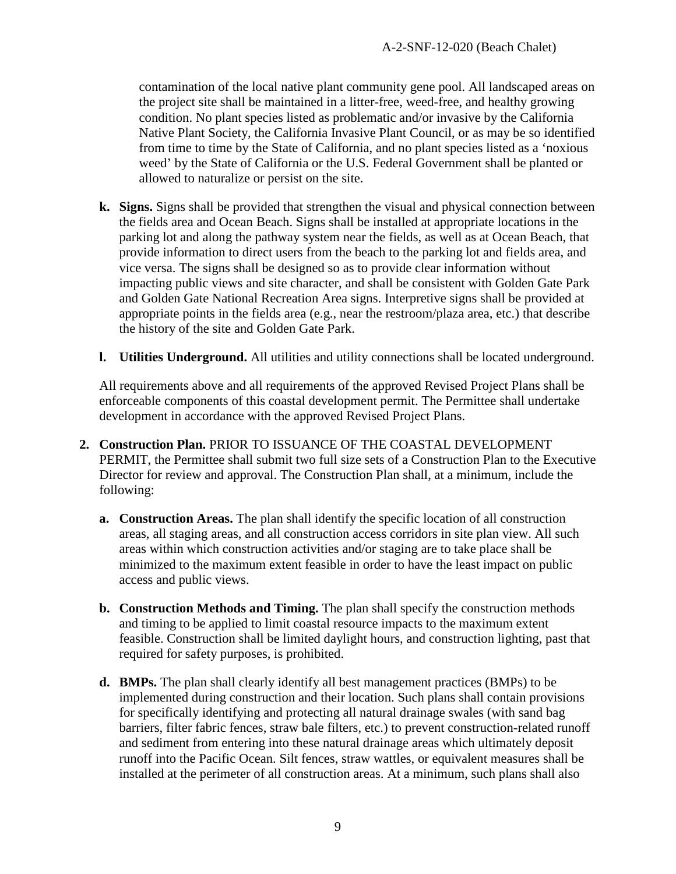contamination of the local native plant community gene pool. All landscaped areas on the project site shall be maintained in a litter-free, weed-free, and healthy growing condition. No plant species listed as problematic and/or invasive by the California Native Plant Society, the California Invasive Plant Council, or as may be so identified from time to time by the State of California, and no plant species listed as a 'noxious weed' by the State of California or the U.S. Federal Government shall be planted or allowed to naturalize or persist on the site.

- **k. Signs.** Signs shall be provided that strengthen the visual and physical connection between the fields area and Ocean Beach. Signs shall be installed at appropriate locations in the parking lot and along the pathway system near the fields, as well as at Ocean Beach, that provide information to direct users from the beach to the parking lot and fields area, and vice versa. The signs shall be designed so as to provide clear information without impacting public views and site character, and shall be consistent with Golden Gate Park and Golden Gate National Recreation Area signs. Interpretive signs shall be provided at appropriate points in the fields area (e.g., near the restroom/plaza area, etc.) that describe the history of the site and Golden Gate Park.
- **l. Utilities Underground.** All utilities and utility connections shall be located underground.

All requirements above and all requirements of the approved Revised Project Plans shall be enforceable components of this coastal development permit. The Permittee shall undertake development in accordance with the approved Revised Project Plans.

- **2. Construction Plan.** PRIOR TO ISSUANCE OF THE COASTAL DEVELOPMENT PERMIT, the Permittee shall submit two full size sets of a Construction Plan to the Executive Director for review and approval. The Construction Plan shall, at a minimum, include the following:
	- **a. Construction Areas.** The plan shall identify the specific location of all construction areas, all staging areas, and all construction access corridors in site plan view. All such areas within which construction activities and/or staging are to take place shall be minimized to the maximum extent feasible in order to have the least impact on public access and public views.
	- **b. Construction Methods and Timing.** The plan shall specify the construction methods and timing to be applied to limit coastal resource impacts to the maximum extent feasible. Construction shall be limited daylight hours, and construction lighting, past that required for safety purposes, is prohibited.
	- **d. BMPs.** The plan shall clearly identify all best management practices (BMPs) to be implemented during construction and their location. Such plans shall contain provisions for specifically identifying and protecting all natural drainage swales (with sand bag barriers, filter fabric fences, straw bale filters, etc.) to prevent construction-related runoff and sediment from entering into these natural drainage areas which ultimately deposit runoff into the Pacific Ocean. Silt fences, straw wattles, or equivalent measures shall be installed at the perimeter of all construction areas. At a minimum, such plans shall also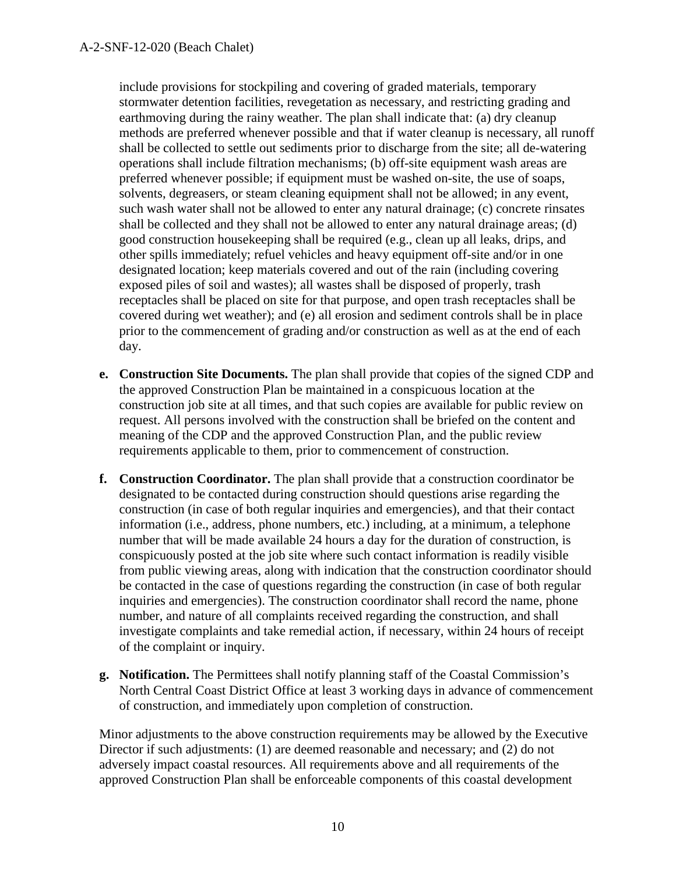include provisions for stockpiling and covering of graded materials, temporary stormwater detention facilities, revegetation as necessary, and restricting grading and earthmoving during the rainy weather. The plan shall indicate that: (a) dry cleanup methods are preferred whenever possible and that if water cleanup is necessary, all runoff shall be collected to settle out sediments prior to discharge from the site; all de-watering operations shall include filtration mechanisms; (b) off-site equipment wash areas are preferred whenever possible; if equipment must be washed on-site, the use of soaps, solvents, degreasers, or steam cleaning equipment shall not be allowed; in any event, such wash water shall not be allowed to enter any natural drainage; (c) concrete rinsates shall be collected and they shall not be allowed to enter any natural drainage areas; (d) good construction housekeeping shall be required (e.g., clean up all leaks, drips, and other spills immediately; refuel vehicles and heavy equipment off-site and/or in one designated location; keep materials covered and out of the rain (including covering exposed piles of soil and wastes); all wastes shall be disposed of properly, trash receptacles shall be placed on site for that purpose, and open trash receptacles shall be covered during wet weather); and (e) all erosion and sediment controls shall be in place prior to the commencement of grading and/or construction as well as at the end of each day.

- **e. Construction Site Documents.** The plan shall provide that copies of the signed CDP and the approved Construction Plan be maintained in a conspicuous location at the construction job site at all times, and that such copies are available for public review on request. All persons involved with the construction shall be briefed on the content and meaning of the CDP and the approved Construction Plan, and the public review requirements applicable to them, prior to commencement of construction.
- **f. Construction Coordinator.** The plan shall provide that a construction coordinator be designated to be contacted during construction should questions arise regarding the construction (in case of both regular inquiries and emergencies), and that their contact information (i.e., address, phone numbers, etc.) including, at a minimum, a telephone number that will be made available 24 hours a day for the duration of construction, is conspicuously posted at the job site where such contact information is readily visible from public viewing areas, along with indication that the construction coordinator should be contacted in the case of questions regarding the construction (in case of both regular inquiries and emergencies). The construction coordinator shall record the name, phone number, and nature of all complaints received regarding the construction, and shall investigate complaints and take remedial action, if necessary, within 24 hours of receipt of the complaint or inquiry.
- **g. Notification.** The Permittees shall notify planning staff of the Coastal Commission's North Central Coast District Office at least 3 working days in advance of commencement of construction, and immediately upon completion of construction.

Minor adjustments to the above construction requirements may be allowed by the Executive Director if such adjustments: (1) are deemed reasonable and necessary; and (2) do not adversely impact coastal resources. All requirements above and all requirements of the approved Construction Plan shall be enforceable components of this coastal development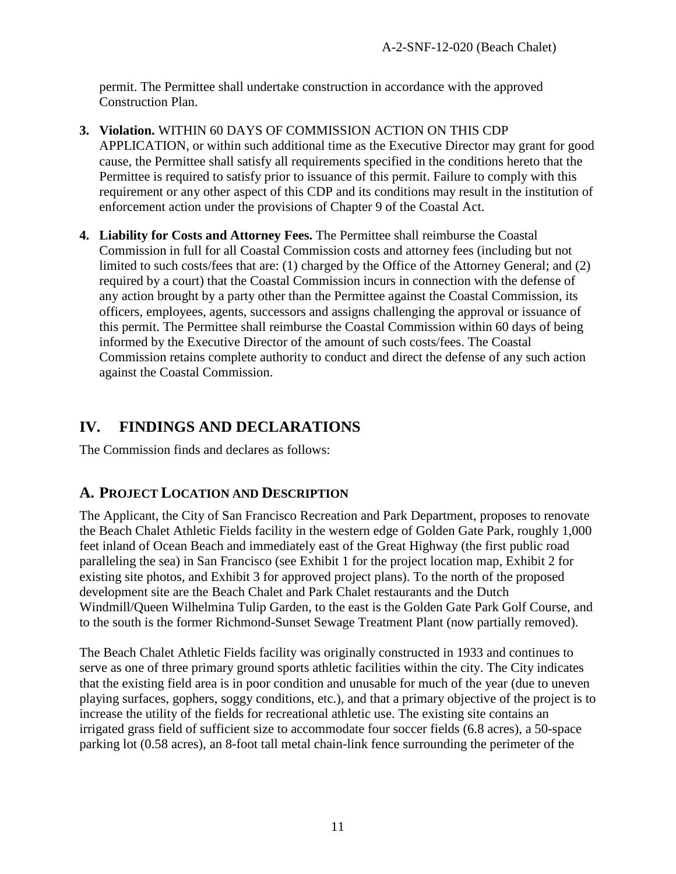permit. The Permittee shall undertake construction in accordance with the approved Construction Plan.

- **3. Violation.** WITHIN 60 DAYS OF COMMISSION ACTION ON THIS CDP APPLICATION, or within such additional time as the Executive Director may grant for good cause, the Permittee shall satisfy all requirements specified in the conditions hereto that the Permittee is required to satisfy prior to issuance of this permit. Failure to comply with this requirement or any other aspect of this CDP and its conditions may result in the institution of enforcement action under the provisions of Chapter 9 of the Coastal Act.
- **4. Liability for Costs and Attorney Fees.** The Permittee shall reimburse the Coastal Commission in full for all Coastal Commission costs and attorney fees (including but not limited to such costs/fees that are: (1) charged by the Office of the Attorney General; and (2) required by a court) that the Coastal Commission incurs in connection with the defense of any action brought by a party other than the Permittee against the Coastal Commission, its officers, employees, agents, successors and assigns challenging the approval or issuance of this permit. The Permittee shall reimburse the Coastal Commission within 60 days of being informed by the Executive Director of the amount of such costs/fees. The Coastal Commission retains complete authority to conduct and direct the defense of any such action against the Coastal Commission.

### **IV. FINDINGS AND DECLARATIONS**

The Commission finds and declares as follows:

### **A. PROJECT LOCATION AND DESCRIPTION**

The Applicant, the City of San Francisco Recreation and Park Department, proposes to renovate the Beach Chalet Athletic Fields facility in the western edge of Golden Gate Park, roughly 1,000 feet inland of Ocean Beach and immediately east of the Great Highway (the first public road paralleling the sea) in San Francisco (see Exhibit 1 for the project location map, Exhibit 2 for existing site photos, and Exhibit 3 for approved project plans). To the north of the proposed development site are the Beach Chalet and Park Chalet restaurants and the Dutch Windmill/Queen Wilhelmina Tulip Garden, to the east is the Golden Gate Park Golf Course, and to the south is the former Richmond-Sunset Sewage Treatment Plant (now partially removed).

The Beach Chalet Athletic Fields facility was originally constructed in 1933 and continues to serve as one of three primary ground sports athletic facilities within the city. The City indicates that the existing field area is in poor condition and unusable for much of the year (due to uneven playing surfaces, gophers, soggy conditions, etc.), and that a primary objective of the project is to increase the utility of the fields for recreational athletic use. The existing site contains an irrigated grass field of sufficient size to accommodate four soccer fields (6.8 acres), a 50-space parking lot (0.58 acres), an 8-foot tall metal chain-link fence surrounding the perimeter of the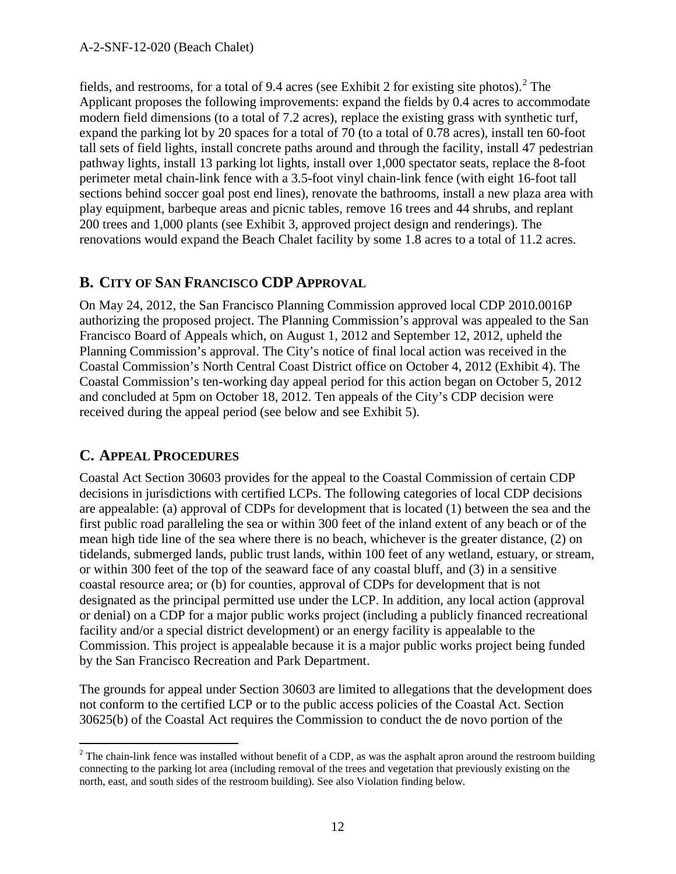fields, and restrooms, for a total of 9.4 acres (see Exhibit [2](#page-11-0) for existing site photos).<sup>2</sup> The Applicant proposes the following improvements: expand the fields by 0.4 acres to accommodate modern field dimensions (to a total of 7.2 acres), replace the existing grass with synthetic turf, expand the parking lot by 20 spaces for a total of 70 (to a total of 0.78 acres), install ten 60-foot tall sets of field lights, install concrete paths around and through the facility, install 47 pedestrian pathway lights, install 13 parking lot lights, install over 1,000 spectator seats, replace the 8-foot perimeter metal chain-link fence with a 3.5-foot vinyl chain-link fence (with eight 16-foot tall sections behind soccer goal post end lines), renovate the bathrooms, install a new plaza area with play equipment, barbeque areas and picnic tables, remove 16 trees and 44 shrubs, and replant 200 trees and 1,000 plants (see Exhibit 3, approved project design and renderings). The renovations would expand the Beach Chalet facility by some 1.8 acres to a total of 11.2 acres.

### **B. CITY OF SAN FRANCISCO CDP APPROVAL**

On May 24, 2012, the San Francisco Planning Commission approved local CDP 2010.0016P authorizing the proposed project. The Planning Commission's approval was appealed to the San Francisco Board of Appeals which, on August 1, 2012 and September 12, 2012, upheld the Planning Commission's approval. The City's notice of final local action was received in the Coastal Commission's North Central Coast District office on October 4, 2012 (Exhibit 4). The Coastal Commission's ten-working day appeal period for this action began on October 5, 2012 and concluded at 5pm on October 18, 2012. Ten appeals of the City's CDP decision were received during the appeal period (see below and see Exhibit 5).

### **C. APPEAL PROCEDURES**

Coastal Act Section 30603 provides for the appeal to the Coastal Commission of certain CDP decisions in jurisdictions with certified LCPs. The following categories of local CDP decisions are appealable: (a) approval of CDPs for development that is located (1) between the sea and the first public road paralleling the sea or within 300 feet of the inland extent of any beach or of the mean high tide line of the sea where there is no beach, whichever is the greater distance, (2) on tidelands, submerged lands, public trust lands, within 100 feet of any wetland, estuary, or stream, or within 300 feet of the top of the seaward face of any coastal bluff, and (3) in a sensitive coastal resource area; or (b) for counties, approval of CDPs for development that is not designated as the principal permitted use under the LCP. In addition, any local action (approval or denial) on a CDP for a major public works project (including a publicly financed recreational facility and/or a special district development) or an energy facility is appealable to the Commission. This project is appealable because it is a major public works project being funded by the San Francisco Recreation and Park Department.

The grounds for appeal under Section 30603 are limited to allegations that the development does not conform to the certified LCP or to the public access policies of the Coastal Act. Section 30625(b) of the Coastal Act requires the Commission to conduct the de novo portion of the

<span id="page-11-0"></span> $2$  The chain-link fence was installed without benefit of a CDP, as was the asphalt apron around the restroom building connecting to the parking lot area (including removal of the trees and vegetation that previously existing on the north, east, and south sides of the restroom building). See also Violation finding below.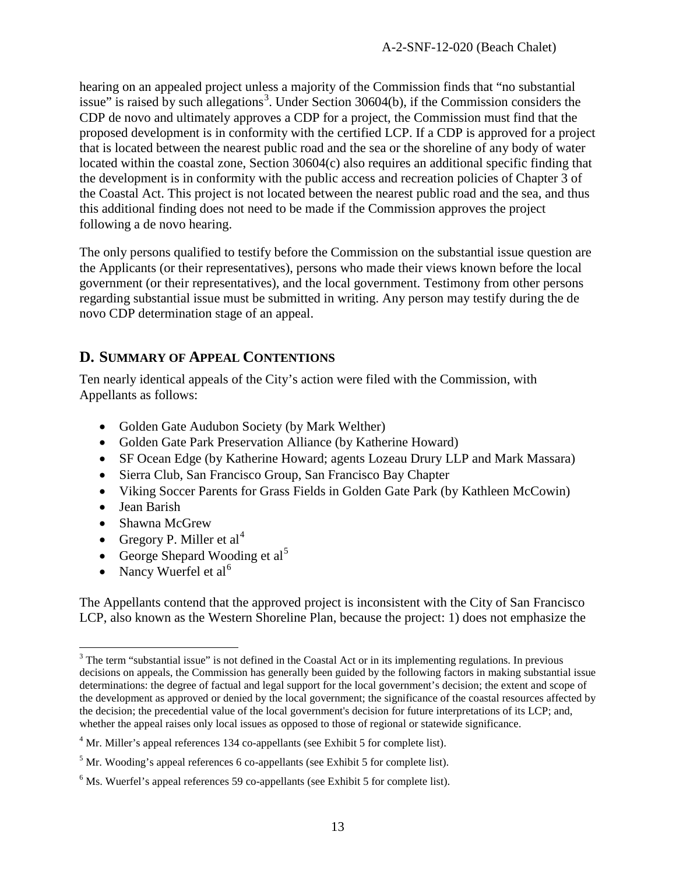hearing on an appealed project unless a majority of the Commission finds that "no substantial issue" is raised by such allegations<sup>[3](#page-12-0)</sup>. Under Section 30604(b), if the Commission considers the CDP de novo and ultimately approves a CDP for a project, the Commission must find that the proposed development is in conformity with the certified LCP. If a CDP is approved for a project that is located between the nearest public road and the sea or the shoreline of any body of water located within the coastal zone, Section 30604(c) also requires an additional specific finding that the development is in conformity with the public access and recreation policies of Chapter 3 of the Coastal Act. This project is not located between the nearest public road and the sea, and thus this additional finding does not need to be made if the Commission approves the project following a de novo hearing.

The only persons qualified to testify before the Commission on the substantial issue question are the Applicants (or their representatives), persons who made their views known before the local government (or their representatives), and the local government. Testimony from other persons regarding substantial issue must be submitted in writing. Any person may testify during the de novo CDP determination stage of an appeal.

### **D. SUMMARY OF APPEAL CONTENTIONS**

Ten nearly identical appeals of the City's action were filed with the Commission, with Appellants as follows:

- Golden Gate Audubon Society (by Mark Welther)
- Golden Gate Park Preservation Alliance (by Katherine Howard)
- SF Ocean Edge (by Katherine Howard; agents Lozeau Drury LLP and Mark Massara)
- Sierra Club, San Francisco Group, San Francisco Bay Chapter
- Viking Soccer Parents for Grass Fields in Golden Gate Park (by Kathleen McCowin)
- Jean Barish
- Shawna McGrew
- Gregory P. Miller et  $al<sup>4</sup>$  $al<sup>4</sup>$  $al<sup>4</sup>$
- George Shepard Wooding et  $al<sup>5</sup>$  $al<sup>5</sup>$  $al<sup>5</sup>$
- Nancy Wuerfel et  $al^6$  $al^6$

The Appellants contend that the approved project is inconsistent with the City of San Francisco LCP, also known as the Western Shoreline Plan, because the project: 1) does not emphasize the

<span id="page-12-0"></span><sup>&</sup>lt;sup>3</sup> The term "substantial issue" is not defined in the Coastal Act or in its implementing regulations. In previous decisions on appeals, the Commission has generally been guided by the following factors in making substantial issue determinations: the degree of factual and legal support for the local government's decision; the extent and scope of the development as approved or denied by the local government; the significance of the coastal resources affected by the decision; the precedential value of the local government's decision for future interpretations of its LCP; and, whether the appeal raises only local issues as opposed to those of regional or statewide significance.

<span id="page-12-1"></span><sup>&</sup>lt;sup>4</sup> Mr. Miller's appeal references 134 co-appellants (see Exhibit 5 for complete list).

<span id="page-12-2"></span> $<sup>5</sup>$  Mr. Wooding's appeal references 6 co-appellants (see Exhibit 5 for complete list).</sup>

<span id="page-12-3"></span> $<sup>6</sup>$  Ms. Wuerfel's appeal references 59 co-appellants (see Exhibit 5 for complete list).</sup>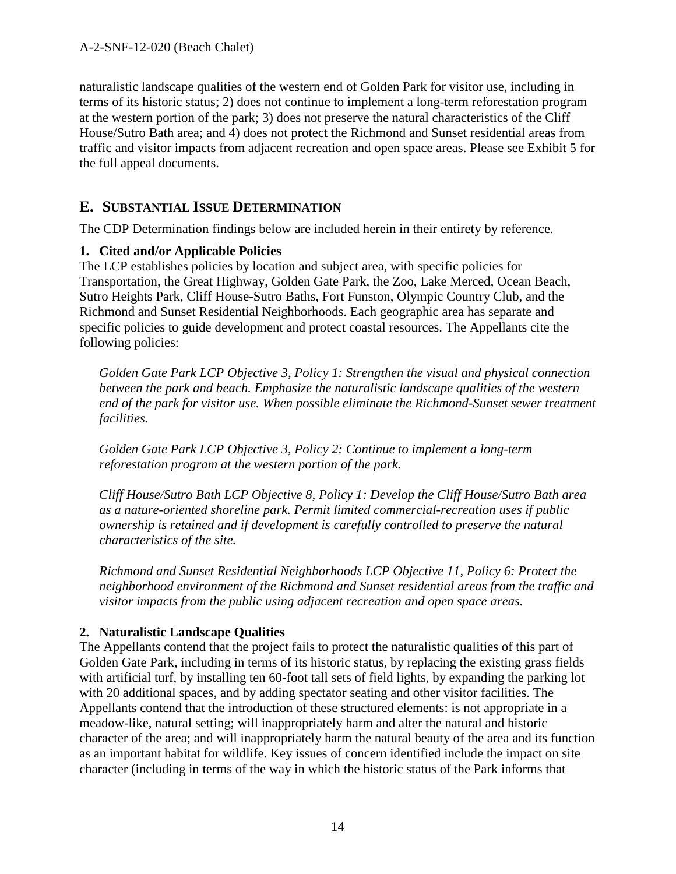naturalistic landscape qualities of the western end of Golden Park for visitor use, including in terms of its historic status; 2) does not continue to implement a long-term reforestation program at the western portion of the park; 3) does not preserve the natural characteristics of the Cliff House/Sutro Bath area; and 4) does not protect the Richmond and Sunset residential areas from traffic and visitor impacts from adjacent recreation and open space areas. Please see Exhibit 5 for the full appeal documents.

#### **E. SUBSTANTIAL ISSUE DETERMINATION**

The CDP Determination findings below are included herein in their entirety by reference.

#### **1. Cited and/or Applicable Policies**

The LCP establishes policies by location and subject area, with specific policies for Transportation, the Great Highway, Golden Gate Park, the Zoo, Lake Merced, Ocean Beach, Sutro Heights Park, Cliff House-Sutro Baths, Fort Funston, Olympic Country Club, and the Richmond and Sunset Residential Neighborhoods. Each geographic area has separate and specific policies to guide development and protect coastal resources. The Appellants cite the following policies:

*Golden Gate Park LCP Objective 3, Policy 1: Strengthen the visual and physical connection between the park and beach. Emphasize the naturalistic landscape qualities of the western*  end of the park for visitor use. When possible eliminate the Richmond-Sunset sewer treatment *facilities.*

*Golden Gate Park LCP Objective 3, Policy 2: Continue to implement a long-term reforestation program at the western portion of the park.*

*Cliff House/Sutro Bath LCP Objective 8, Policy 1: Develop the Cliff House/Sutro Bath area as a nature-oriented shoreline park. Permit limited commercial-recreation uses if public ownership is retained and if development is carefully controlled to preserve the natural characteristics of the site.*

*Richmond and Sunset Residential Neighborhoods LCP Objective 11, Policy 6: Protect the neighborhood environment of the Richmond and Sunset residential areas from the traffic and visitor impacts from the public using adjacent recreation and open space areas.*

#### **2. Naturalistic Landscape Qualities**

The Appellants contend that the project fails to protect the naturalistic qualities of this part of Golden Gate Park, including in terms of its historic status, by replacing the existing grass fields with artificial turf, by installing ten 60-foot tall sets of field lights, by expanding the parking lot with 20 additional spaces, and by adding spectator seating and other visitor facilities. The Appellants contend that the introduction of these structured elements: is not appropriate in a meadow-like, natural setting; will inappropriately harm and alter the natural and historic character of the area; and will inappropriately harm the natural beauty of the area and its function as an important habitat for wildlife. Key issues of concern identified include the impact on site character (including in terms of the way in which the historic status of the Park informs that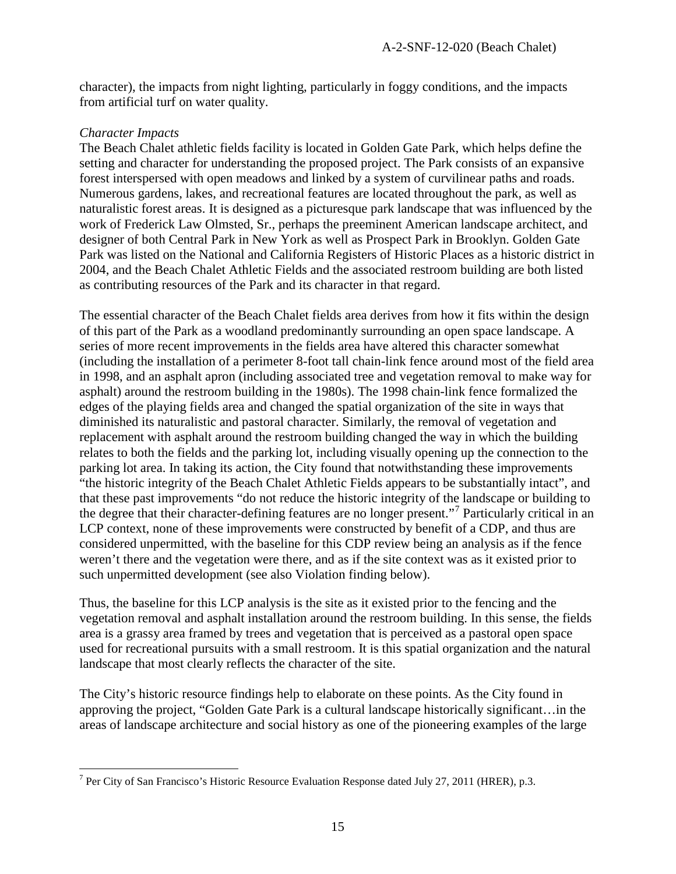character), the impacts from night lighting, particularly in foggy conditions, and the impacts from artificial turf on water quality.

#### *Character Impacts*

The Beach Chalet athletic fields facility is located in Golden Gate Park, which helps define the setting and character for understanding the proposed project. The Park consists of an expansive forest interspersed with open meadows and linked by a system of curvilinear paths and roads. Numerous gardens, lakes, and recreational features are located throughout the park, as well as naturalistic forest areas. It is designed as a picturesque park landscape that was influenced by the work of Frederick Law Olmsted, Sr., perhaps the preeminent American landscape architect, and designer of both Central Park in New York as well as Prospect Park in Brooklyn. Golden Gate Park was listed on the National and California Registers of Historic Places as a historic district in 2004, and the Beach Chalet Athletic Fields and the associated restroom building are both listed as contributing resources of the Park and its character in that regard.

The essential character of the Beach Chalet fields area derives from how it fits within the design of this part of the Park as a woodland predominantly surrounding an open space landscape. A series of more recent improvements in the fields area have altered this character somewhat (including the installation of a perimeter 8-foot tall chain-link fence around most of the field area in 1998, and an asphalt apron (including associated tree and vegetation removal to make way for asphalt) around the restroom building in the 1980s). The 1998 chain-link fence formalized the edges of the playing fields area and changed the spatial organization of the site in ways that diminished its naturalistic and pastoral character. Similarly, the removal of vegetation and replacement with asphalt around the restroom building changed the way in which the building relates to both the fields and the parking lot, including visually opening up the connection to the parking lot area. In taking its action, the City found that notwithstanding these improvements "the historic integrity of the Beach Chalet Athletic Fields appears to be substantially intact", and that these past improvements "do not reduce the historic integrity of the landscape or building to the degree that their character-defining features are no longer present."[7](#page-14-0) Particularly critical in an LCP context, none of these improvements were constructed by benefit of a CDP, and thus are considered unpermitted, with the baseline for this CDP review being an analysis as if the fence weren't there and the vegetation were there, and as if the site context was as it existed prior to such unpermitted development (see also Violation finding below).

Thus, the baseline for this LCP analysis is the site as it existed prior to the fencing and the vegetation removal and asphalt installation around the restroom building. In this sense, the fields area is a grassy area framed by trees and vegetation that is perceived as a pastoral open space used for recreational pursuits with a small restroom. It is this spatial organization and the natural landscape that most clearly reflects the character of the site.

The City's historic resource findings help to elaborate on these points. As the City found in approving the project, "Golden Gate Park is a cultural landscape historically significant…in the areas of landscape architecture and social history as one of the pioneering examples of the large

<span id="page-14-0"></span> <sup>7</sup> Per City of San Francisco's Historic Resource Evaluation Response dated July 27, 2011 (HRER), p.3.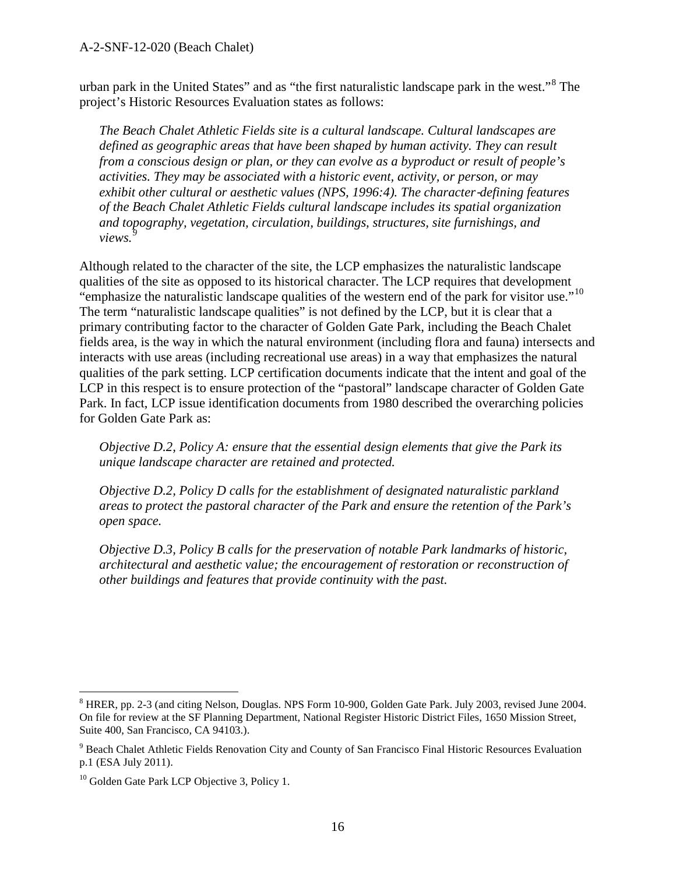urban park in the United States" and as "the first naturalistic landscape park in the west."[8](#page-15-0) The project's Historic Resources Evaluation states as follows:

*The Beach Chalet Athletic Fields site is a cultural landscape. Cultural landscapes are defined as geographic areas that have been shaped by human activity. They can result from a conscious design or plan, or they can evolve as a byproduct or result of people's activities. They may be associated with a historic event, activity, or person, or may*  exhibit other cultural or aesthetic values (NPS, 1996:4). The character-defining features *of the Beach Chalet Athletic Fields cultural landscape includes its spatial organization and topography, vegetation, circulation, buildings, structures, site furnishings, and views.[9](#page-15-1)*

Although related to the character of the site, the LCP emphasizes the naturalistic landscape qualities of the site as opposed to its historical character. The LCP requires that development "emphasize the naturalistic landscape qualities of the western end of the park for visitor use."[10](#page-15-2) The term "naturalistic landscape qualities" is not defined by the LCP, but it is clear that a primary contributing factor to the character of Golden Gate Park, including the Beach Chalet fields area, is the way in which the natural environment (including flora and fauna) intersects and interacts with use areas (including recreational use areas) in a way that emphasizes the natural qualities of the park setting. LCP certification documents indicate that the intent and goal of the LCP in this respect is to ensure protection of the "pastoral" landscape character of Golden Gate Park. In fact, LCP issue identification documents from 1980 described the overarching policies for Golden Gate Park as:

*Objective D.2, Policy A: ensure that the essential design elements that give the Park its unique landscape character are retained and protected.*

*Objective D.2, Policy D calls for the establishment of designated naturalistic parkland areas to protect the pastoral character of the Park and ensure the retention of the Park's open space.*

*Objective D.3, Policy B calls for the preservation of notable Park landmarks of historic, architectural and aesthetic value; the encouragement of restoration or reconstruction of other buildings and features that provide continuity with the past.*

<span id="page-15-0"></span> <sup>8</sup> HRER, pp. 2-3 (and citing Nelson, Douglas. NPS Form 10-900, Golden Gate Park. July 2003, revised June 2004. On file for review at the SF Planning Department, National Register Historic District Files, 1650 Mission Street, Suite 400, San Francisco, CA 94103.).

<span id="page-15-1"></span><sup>&</sup>lt;sup>9</sup> Beach Chalet Athletic Fields Renovation City and County of San Francisco Final Historic Resources Evaluation p.1 (ESA July 2011).

<span id="page-15-2"></span><sup>&</sup>lt;sup>10</sup> Golden Gate Park LCP Objective 3, Policy 1.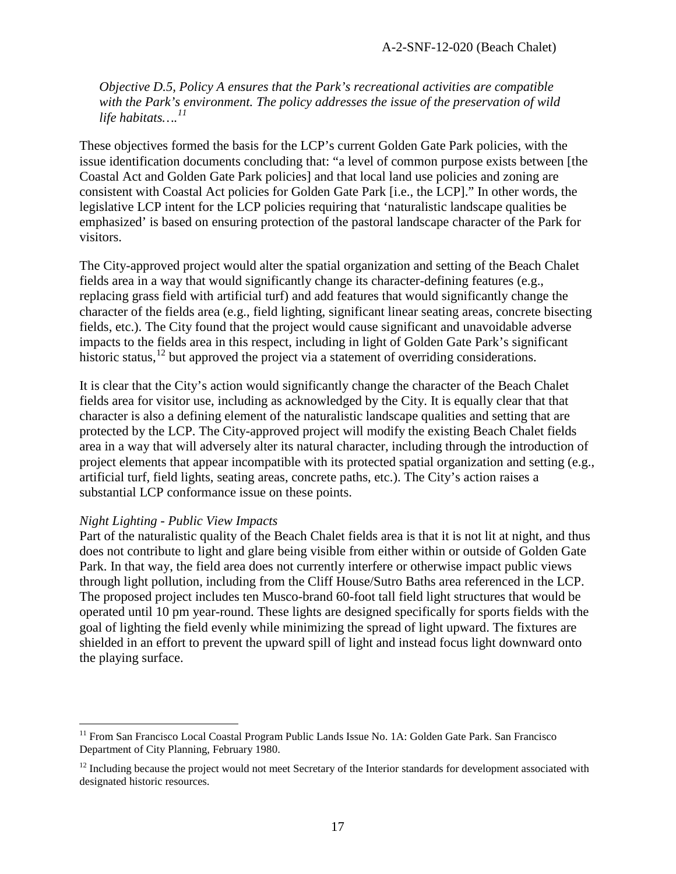*Objective D.5, Policy A ensures that the Park's recreational activities are compatible with the Park's environment. The policy addresses the issue of the preservation of wild life habitats….[11](#page-16-0)*

These objectives formed the basis for the LCP's current Golden Gate Park policies, with the issue identification documents concluding that: "a level of common purpose exists between [the Coastal Act and Golden Gate Park policies] and that local land use policies and zoning are consistent with Coastal Act policies for Golden Gate Park [i.e., the LCP]." In other words, the legislative LCP intent for the LCP policies requiring that 'naturalistic landscape qualities be emphasized' is based on ensuring protection of the pastoral landscape character of the Park for visitors.

The City-approved project would alter the spatial organization and setting of the Beach Chalet fields area in a way that would significantly change its character-defining features (e.g., replacing grass field with artificial turf) and add features that would significantly change the character of the fields area (e.g., field lighting, significant linear seating areas, concrete bisecting fields, etc.). The City found that the project would cause significant and unavoidable adverse impacts to the fields area in this respect, including in light of Golden Gate Park's significant historic status,<sup>[12](#page-16-1)</sup> but approved the project via a statement of overriding considerations.

It is clear that the City's action would significantly change the character of the Beach Chalet fields area for visitor use, including as acknowledged by the City. It is equally clear that that character is also a defining element of the naturalistic landscape qualities and setting that are protected by the LCP. The City-approved project will modify the existing Beach Chalet fields area in a way that will adversely alter its natural character, including through the introduction of project elements that appear incompatible with its protected spatial organization and setting (e.g., artificial turf, field lights, seating areas, concrete paths, etc.). The City's action raises a substantial LCP conformance issue on these points.

#### *Night Lighting - Public View Impacts*

Part of the naturalistic quality of the Beach Chalet fields area is that it is not lit at night, and thus does not contribute to light and glare being visible from either within or outside of Golden Gate Park. In that way, the field area does not currently interfere or otherwise impact public views through light pollution, including from the Cliff House/Sutro Baths area referenced in the LCP. The proposed project includes ten Musco-brand 60-foot tall field light structures that would be operated until 10 pm year-round. These lights are designed specifically for sports fields with the goal of lighting the field evenly while minimizing the spread of light upward. The fixtures are shielded in an effort to prevent the upward spill of light and instead focus light downward onto the playing surface.

<span id="page-16-0"></span><sup>&</sup>lt;sup>11</sup> From San Francisco Local Coastal Program Public Lands Issue No. 1A: Golden Gate Park. San Francisco Department of City Planning, February 1980.

<span id="page-16-1"></span> $12$  Including because the project would not meet Secretary of the Interior standards for development associated with designated historic resources.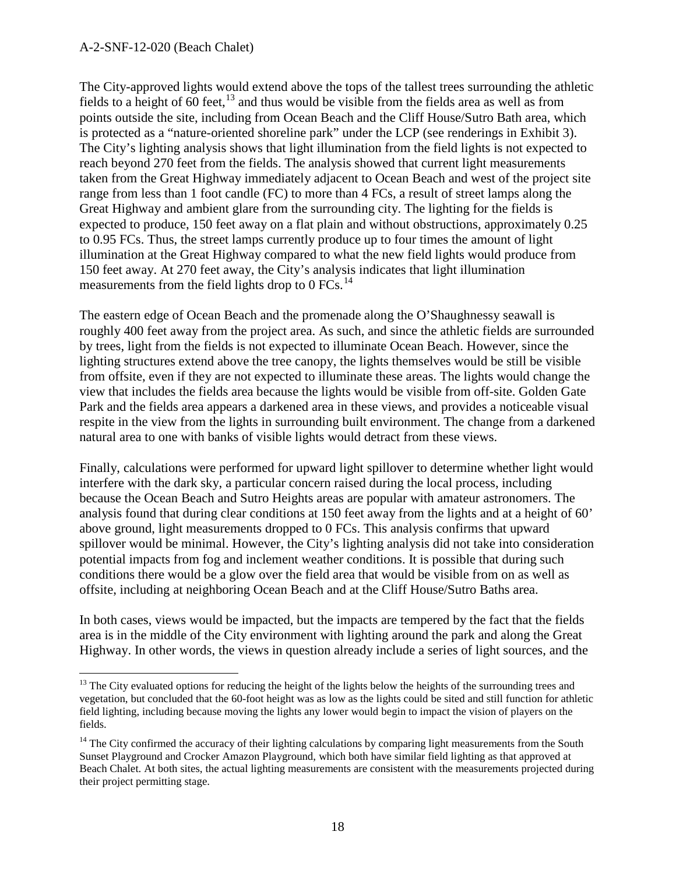The City-approved lights would extend above the tops of the tallest trees surrounding the athletic fields to a height of 60 feet,<sup>[13](#page-17-0)</sup> and thus would be visible from the fields area as well as from points outside the site, including from Ocean Beach and the Cliff House/Sutro Bath area, which is protected as a "nature-oriented shoreline park" under the LCP (see renderings in Exhibit 3). The City's lighting analysis shows that light illumination from the field lights is not expected to reach beyond 270 feet from the fields. The analysis showed that current light measurements taken from the Great Highway immediately adjacent to Ocean Beach and west of the project site range from less than 1 foot candle (FC) to more than 4 FCs, a result of street lamps along the Great Highway and ambient glare from the surrounding city. The lighting for the fields is expected to produce, 150 feet away on a flat plain and without obstructions, approximately 0.25 to 0.95 FCs. Thus, the street lamps currently produce up to four times the amount of light illumination at the Great Highway compared to what the new field lights would produce from 150 feet away. At 270 feet away, the City's analysis indicates that light illumination measurements from the field lights drop to  $0$  FCs.<sup>[14](#page-17-1)</sup>

The eastern edge of Ocean Beach and the promenade along the O'Shaughnessy seawall is roughly 400 feet away from the project area. As such, and since the athletic fields are surrounded by trees, light from the fields is not expected to illuminate Ocean Beach. However, since the lighting structures extend above the tree canopy, the lights themselves would be still be visible from offsite, even if they are not expected to illuminate these areas. The lights would change the view that includes the fields area because the lights would be visible from off-site. Golden Gate Park and the fields area appears a darkened area in these views, and provides a noticeable visual respite in the view from the lights in surrounding built environment. The change from a darkened natural area to one with banks of visible lights would detract from these views.

Finally, calculations were performed for upward light spillover to determine whether light would interfere with the dark sky, a particular concern raised during the local process, including because the Ocean Beach and Sutro Heights areas are popular with amateur astronomers. The analysis found that during clear conditions at 150 feet away from the lights and at a height of 60' above ground, light measurements dropped to 0 FCs. This analysis confirms that upward spillover would be minimal. However, the City's lighting analysis did not take into consideration potential impacts from fog and inclement weather conditions. It is possible that during such conditions there would be a glow over the field area that would be visible from on as well as offsite, including at neighboring Ocean Beach and at the Cliff House/Sutro Baths area.

In both cases, views would be impacted, but the impacts are tempered by the fact that the fields area is in the middle of the City environment with lighting around the park and along the Great Highway. In other words, the views in question already include a series of light sources, and the

<span id="page-17-0"></span> $13$  The City evaluated options for reducing the height of the lights below the heights of the surrounding trees and vegetation, but concluded that the 60-foot height was as low as the lights could be sited and still function for athletic field lighting, including because moving the lights any lower would begin to impact the vision of players on the fields.

<span id="page-17-1"></span><sup>&</sup>lt;sup>14</sup> The City confirmed the accuracy of their lighting calculations by comparing light measurements from the South Sunset Playground and Crocker Amazon Playground, which both have similar field lighting as that approved at Beach Chalet. At both sites, the actual lighting measurements are consistent with the measurements projected during their project permitting stage.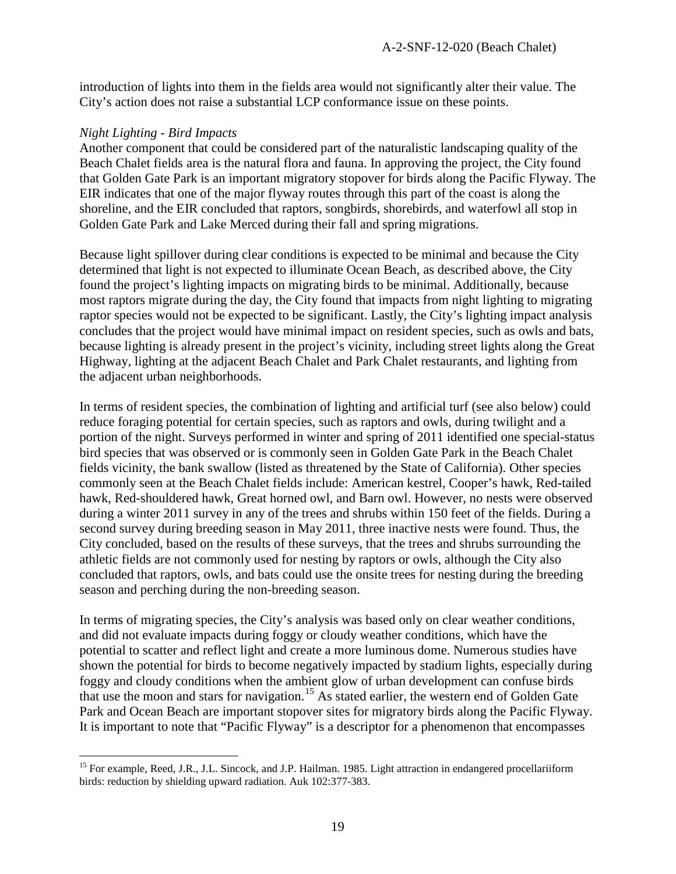introduction of lights into them in the fields area would not significantly alter their value. The City's action does not raise a substantial LCP conformance issue on these points.

#### *Night Lighting - Bird Impacts*

Another component that could be considered part of the naturalistic landscaping quality of the Beach Chalet fields area is the natural flora and fauna. In approving the project, the City found that Golden Gate Park is an important migratory stopover for birds along the Pacific Flyway. The EIR indicates that one of the major flyway routes through this part of the coast is along the shoreline, and the EIR concluded that raptors, songbirds, shorebirds, and waterfowl all stop in Golden Gate Park and Lake Merced during their fall and spring migrations.

Because light spillover during clear conditions is expected to be minimal and because the City determined that light is not expected to illuminate Ocean Beach, as described above, the City found the project's lighting impacts on migrating birds to be minimal. Additionally, because most raptors migrate during the day, the City found that impacts from night lighting to migrating raptor species would not be expected to be significant. Lastly, the City's lighting impact analysis concludes that the project would have minimal impact on resident species, such as owls and bats, because lighting is already present in the project's vicinity, including street lights along the Great Highway, lighting at the adjacent Beach Chalet and Park Chalet restaurants, and lighting from the adjacent urban neighborhoods.

In terms of resident species, the combination of lighting and artificial turf (see also below) could reduce foraging potential for certain species, such as raptors and owls, during twilight and a portion of the night. Surveys performed in winter and spring of 2011 identified one special-status bird species that was observed or is commonly seen in Golden Gate Park in the Beach Chalet fields vicinity, the bank swallow (listed as threatened by the State of California). Other species commonly seen at the Beach Chalet fields include: American kestrel, Cooper's hawk, Red-tailed hawk, Red-shouldered hawk, Great horned owl, and Barn owl. However, no nests were observed during a winter 2011 survey in any of the trees and shrubs within 150 feet of the fields. During a second survey during breeding season in May 2011, three inactive nests were found. Thus, the City concluded, based on the results of these surveys, that the trees and shrubs surrounding the athletic fields are not commonly used for nesting by raptors or owls, although the City also concluded that raptors, owls, and bats could use the onsite trees for nesting during the breeding season and perching during the non-breeding season.

In terms of migrating species, the City's analysis was based only on clear weather conditions, and did not evaluate impacts during foggy or cloudy weather conditions, which have the potential to scatter and reflect light and create a more luminous dome. Numerous studies have shown the potential for birds to become negatively impacted by stadium lights, especially during foggy and cloudy conditions when the ambient glow of urban development can confuse birds that use the moon and stars for navigation.[15](#page-18-0) As stated earlier, the western end of Golden Gate Park and Ocean Beach are important stopover sites for migratory birds along the Pacific Flyway. It is important to note that "Pacific Flyway" is a descriptor for a phenomenon that encompasses

<span id="page-18-0"></span><sup>&</sup>lt;sup>15</sup> For example, Reed, J.R., J.L. Sincock, and J.P. Hailman. 1985. Light attraction in endangered procellariiform birds: reduction by shielding upward radiation. Auk 102:377-383.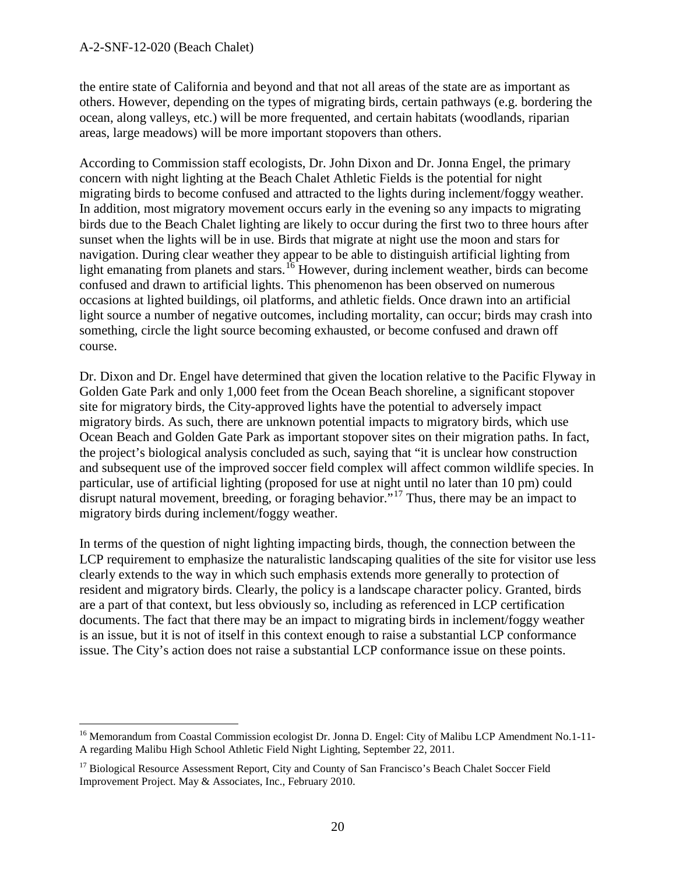the entire state of California and beyond and that not all areas of the state are as important as others. However, depending on the types of migrating birds, certain pathways (e.g. bordering the ocean, along valleys, etc.) will be more frequented, and certain habitats (woodlands, riparian areas, large meadows) will be more important stopovers than others.

According to Commission staff ecologists, Dr. John Dixon and Dr. Jonna Engel, the primary concern with night lighting at the Beach Chalet Athletic Fields is the potential for night migrating birds to become confused and attracted to the lights during inclement/foggy weather. In addition, most migratory movement occurs early in the evening so any impacts to migrating birds due to the Beach Chalet lighting are likely to occur during the first two to three hours after sunset when the lights will be in use. Birds that migrate at night use the moon and stars for navigation. During clear weather they appear to be able to distinguish artificial lighting from light emanating from planets and stars.<sup>[16](#page-19-0)</sup> However, during inclement weather, birds can become confused and drawn to artificial lights. This phenomenon has been observed on numerous occasions at lighted buildings, oil platforms, and athletic fields. Once drawn into an artificial light source a number of negative outcomes, including mortality, can occur; birds may crash into something, circle the light source becoming exhausted, or become confused and drawn off course.

Dr. Dixon and Dr. Engel have determined that given the location relative to the Pacific Flyway in Golden Gate Park and only 1,000 feet from the Ocean Beach shoreline, a significant stopover site for migratory birds, the City-approved lights have the potential to adversely impact migratory birds. As such, there are unknown potential impacts to migratory birds, which use Ocean Beach and Golden Gate Park as important stopover sites on their migration paths. In fact, the project's biological analysis concluded as such, saying that "it is unclear how construction and subsequent use of the improved soccer field complex will affect common wildlife species. In particular, use of artificial lighting (proposed for use at night until no later than 10 pm) could disrupt natural movement, breeding, or foraging behavior.<sup>"[17](#page-19-1)</sup> Thus, there may be an impact to migratory birds during inclement/foggy weather.

In terms of the question of night lighting impacting birds, though, the connection between the LCP requirement to emphasize the naturalistic landscaping qualities of the site for visitor use less clearly extends to the way in which such emphasis extends more generally to protection of resident and migratory birds. Clearly, the policy is a landscape character policy. Granted, birds are a part of that context, but less obviously so, including as referenced in LCP certification documents. The fact that there may be an impact to migrating birds in inclement/foggy weather is an issue, but it is not of itself in this context enough to raise a substantial LCP conformance issue. The City's action does not raise a substantial LCP conformance issue on these points.

<span id="page-19-0"></span><sup>&</sup>lt;sup>16</sup> Memorandum from Coastal Commission ecologist Dr. Jonna D. Engel: City of Malibu LCP Amendment No.1-11-A regarding Malibu High School Athletic Field Night Lighting, September 22, 2011.

<span id="page-19-1"></span><sup>&</sup>lt;sup>17</sup> Biological Resource Assessment Report, City and County of San Francisco's Beach Chalet Soccer Field Improvement Project. May & Associates, Inc., February 2010.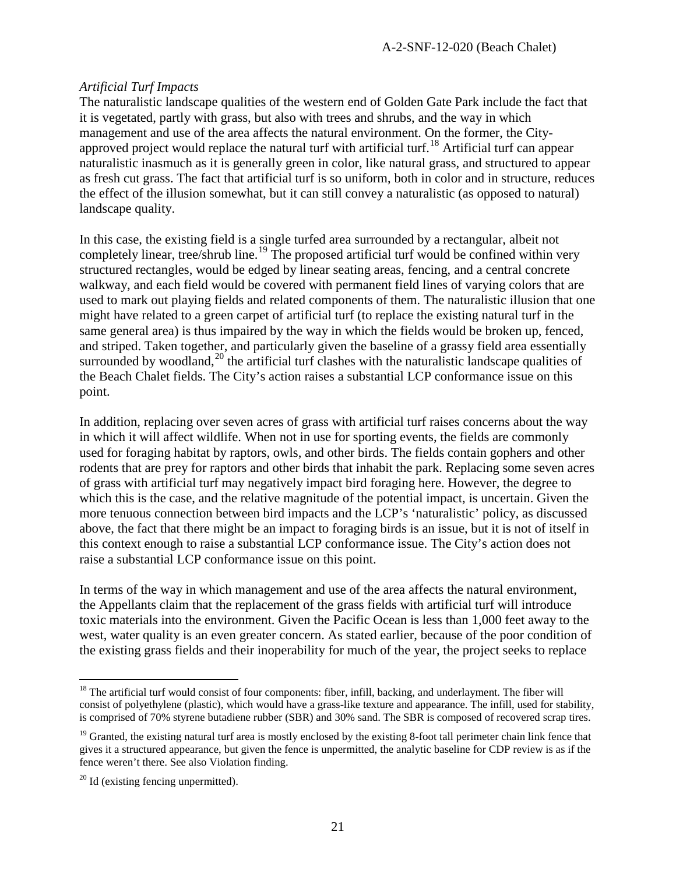#### *Artificial Turf Impacts*

The naturalistic landscape qualities of the western end of Golden Gate Park include the fact that it is vegetated, partly with grass, but also with trees and shrubs, and the way in which management and use of the area affects the natural environment. On the former, the City-approved project would replace the natural turf with artificial turf.<sup>[18](#page-20-0)</sup> Artificial turf can appear naturalistic inasmuch as it is generally green in color, like natural grass, and structured to appear as fresh cut grass. The fact that artificial turf is so uniform, both in color and in structure, reduces the effect of the illusion somewhat, but it can still convey a naturalistic (as opposed to natural) landscape quality.

In this case, the existing field is a single turfed area surrounded by a rectangular, albeit not completely linear, tree/shrub line.<sup>[19](#page-20-1)</sup> The proposed artificial turf would be confined within very structured rectangles, would be edged by linear seating areas, fencing, and a central concrete walkway, and each field would be covered with permanent field lines of varying colors that are used to mark out playing fields and related components of them. The naturalistic illusion that one might have related to a green carpet of artificial turf (to replace the existing natural turf in the same general area) is thus impaired by the way in which the fields would be broken up, fenced, and striped. Taken together, and particularly given the baseline of a grassy field area essentially surrounded by woodland, $^{20}$  $^{20}$  $^{20}$  the artificial turf clashes with the naturalistic landscape qualities of the Beach Chalet fields. The City's action raises a substantial LCP conformance issue on this point.

In addition, replacing over seven acres of grass with artificial turf raises concerns about the way in which it will affect wildlife. When not in use for sporting events, the fields are commonly used for foraging habitat by raptors, owls, and other birds. The fields contain gophers and other rodents that are prey for raptors and other birds that inhabit the park. Replacing some seven acres of grass with artificial turf may negatively impact bird foraging here. However, the degree to which this is the case, and the relative magnitude of the potential impact, is uncertain. Given the more tenuous connection between bird impacts and the LCP's 'naturalistic' policy, as discussed above, the fact that there might be an impact to foraging birds is an issue, but it is not of itself in this context enough to raise a substantial LCP conformance issue. The City's action does not raise a substantial LCP conformance issue on this point.

In terms of the way in which management and use of the area affects the natural environment, the Appellants claim that the replacement of the grass fields with artificial turf will introduce toxic materials into the environment. Given the Pacific Ocean is less than 1,000 feet away to the west, water quality is an even greater concern. As stated earlier, because of the poor condition of the existing grass fields and their inoperability for much of the year, the project seeks to replace

<span id="page-20-0"></span> $18$  The artificial turf would consist of four components: fiber, infill, backing, and underlayment. The fiber will consist of polyethylene (plastic), which would have a grass-like texture and appearance. The infill, used for stability, is comprised of 70% styrene butadiene rubber (SBR) and 30% sand. The SBR is composed of recovered scrap tires.

<span id="page-20-1"></span> $19$  Granted, the existing natural turf area is mostly enclosed by the existing 8-foot tall perimeter chain link fence that gives it a structured appearance, but given the fence is unpermitted, the analytic baseline for CDP review is as if the fence weren't there. See also Violation finding.

<span id="page-20-2"></span> $20$  Id (existing fencing unpermitted).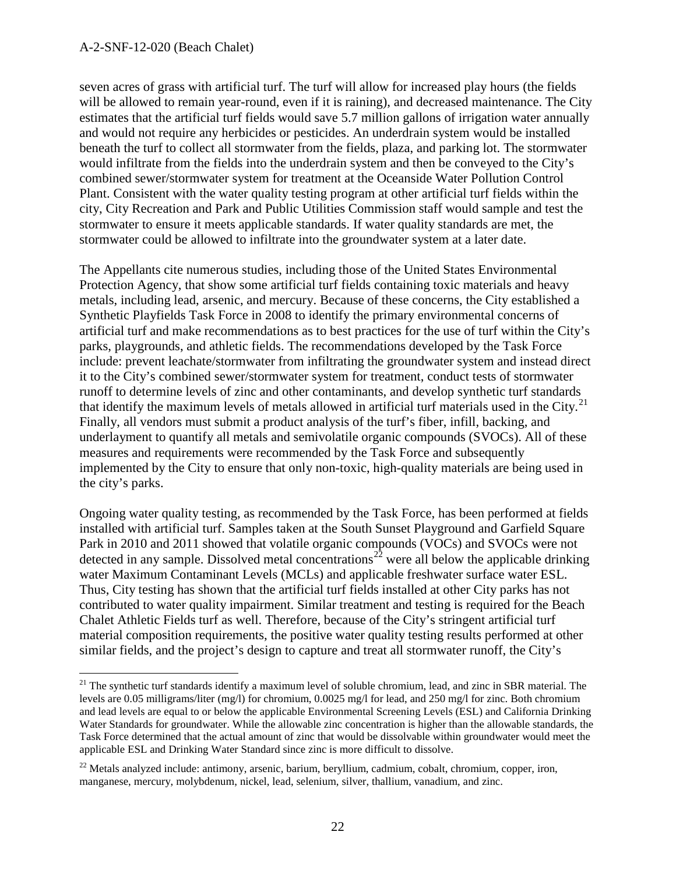seven acres of grass with artificial turf. The turf will allow for increased play hours (the fields will be allowed to remain year-round, even if it is raining), and decreased maintenance. The City estimates that the artificial turf fields would save 5.7 million gallons of irrigation water annually and would not require any herbicides or pesticides. An underdrain system would be installed beneath the turf to collect all stormwater from the fields, plaza, and parking lot. The stormwater would infiltrate from the fields into the underdrain system and then be conveyed to the City's combined sewer/stormwater system for treatment at the Oceanside Water Pollution Control Plant. Consistent with the water quality testing program at other artificial turf fields within the city, City Recreation and Park and Public Utilities Commission staff would sample and test the stormwater to ensure it meets applicable standards. If water quality standards are met, the stormwater could be allowed to infiltrate into the groundwater system at a later date.

The Appellants cite numerous studies, including those of the United States Environmental Protection Agency, that show some artificial turf fields containing toxic materials and heavy metals, including lead, arsenic, and mercury. Because of these concerns, the City established a Synthetic Playfields Task Force in 2008 to identify the primary environmental concerns of artificial turf and make recommendations as to best practices for the use of turf within the City's parks, playgrounds, and athletic fields. The recommendations developed by the Task Force include: prevent leachate/stormwater from infiltrating the groundwater system and instead direct it to the City's combined sewer/stormwater system for treatment, conduct tests of stormwater runoff to determine levels of zinc and other contaminants, and develop synthetic turf standards that identify the maximum levels of metals allowed in artificial turf materials used in the City.<sup>[21](#page-21-0)</sup> Finally, all vendors must submit a product analysis of the turf's fiber, infill, backing, and underlayment to quantify all metals and semivolatile organic compounds (SVOCs). All of these measures and requirements were recommended by the Task Force and subsequently implemented by the City to ensure that only non-toxic, high-quality materials are being used in the city's parks.

Ongoing water quality testing, as recommended by the Task Force, has been performed at fields installed with artificial turf. Samples taken at the South Sunset Playground and Garfield Square Park in 2010 and 2011 showed that volatile organic compounds (VOCs) and SVOCs were not detected in any sample. Dissolved metal concentrations<sup>[22](#page-21-1)</sup> were all below the applicable drinking water Maximum Contaminant Levels (MCLs) and applicable freshwater surface water ESL. Thus, City testing has shown that the artificial turf fields installed at other City parks has not contributed to water quality impairment. Similar treatment and testing is required for the Beach Chalet Athletic Fields turf as well. Therefore, because of the City's stringent artificial turf material composition requirements, the positive water quality testing results performed at other similar fields, and the project's design to capture and treat all stormwater runoff, the City's

<span id="page-21-0"></span> $21$  The synthetic turf standards identify a maximum level of soluble chromium, lead, and zinc in SBR material. The levels are 0.05 milligrams/liter (mg/l) for chromium, 0.0025 mg/l for lead, and 250 mg/l for zinc. Both chromium and lead levels are equal to or below the applicable Environmental Screening Levels (ESL) and California Drinking Water Standards for groundwater. While the allowable zinc concentration is higher than the allowable standards, the Task Force determined that the actual amount of zinc that would be dissolvable within groundwater would meet the applicable ESL and Drinking Water Standard since zinc is more difficult to dissolve.

<span id="page-21-1"></span> $^{22}$  Metals analyzed include: antimony, arsenic, barium, beryllium, cadmium, cobalt, chromium, copper, iron, manganese, mercury, molybdenum, nickel, lead, selenium, silver, thallium, vanadium, and zinc.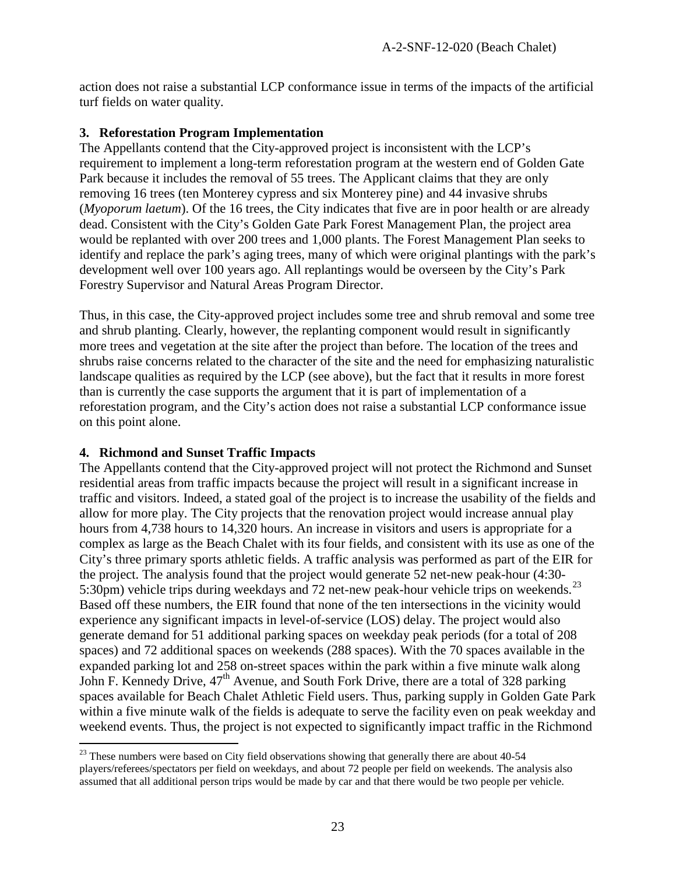action does not raise a substantial LCP conformance issue in terms of the impacts of the artificial turf fields on water quality.

#### **3. Reforestation Program Implementation**

The Appellants contend that the City-approved project is inconsistent with the LCP's requirement to implement a long-term reforestation program at the western end of Golden Gate Park because it includes the removal of 55 trees. The Applicant claims that they are only removing 16 trees (ten Monterey cypress and six Monterey pine) and 44 invasive shrubs (*Myoporum laetum*). Of the 16 trees, the City indicates that five are in poor health or are already dead. Consistent with the City's Golden Gate Park Forest Management Plan, the project area would be replanted with over 200 trees and 1,000 plants. The Forest Management Plan seeks to identify and replace the park's aging trees, many of which were original plantings with the park's development well over 100 years ago. All replantings would be overseen by the City's Park Forestry Supervisor and Natural Areas Program Director.

Thus, in this case, the City-approved project includes some tree and shrub removal and some tree and shrub planting. Clearly, however, the replanting component would result in significantly more trees and vegetation at the site after the project than before. The location of the trees and shrubs raise concerns related to the character of the site and the need for emphasizing naturalistic landscape qualities as required by the LCP (see above), but the fact that it results in more forest than is currently the case supports the argument that it is part of implementation of a reforestation program, and the City's action does not raise a substantial LCP conformance issue on this point alone.

#### **4. Richmond and Sunset Traffic Impacts**

The Appellants contend that the City-approved project will not protect the Richmond and Sunset residential areas from traffic impacts because the project will result in a significant increase in traffic and visitors. Indeed, a stated goal of the project is to increase the usability of the fields and allow for more play. The City projects that the renovation project would increase annual play hours from 4,738 hours to 14,320 hours. An increase in visitors and users is appropriate for a complex as large as the Beach Chalet with its four fields, and consistent with its use as one of the City's three primary sports athletic fields. A traffic analysis was performed as part of the EIR for the project. The analysis found that the project would generate 52 net-new peak-hour (4:30- 5:30pm) vehicle trips during weekdays and 72 net-new peak-hour vehicle trips on weekends.<sup>[23](#page-22-0)</sup> Based off these numbers, the EIR found that none of the ten intersections in the vicinity would experience any significant impacts in level-of-service (LOS) delay. The project would also generate demand for 51 additional parking spaces on weekday peak periods (for a total of 208 spaces) and 72 additional spaces on weekends (288 spaces). With the 70 spaces available in the expanded parking lot and 258 on-street spaces within the park within a five minute walk along John F. Kennedy Drive, 47<sup>th</sup> Avenue, and South Fork Drive, there are a total of 328 parking spaces available for Beach Chalet Athletic Field users. Thus, parking supply in Golden Gate Park within a five minute walk of the fields is adequate to serve the facility even on peak weekday and weekend events. Thus, the project is not expected to significantly impact traffic in the Richmond

<span id="page-22-0"></span><sup>&</sup>lt;sup>23</sup> These numbers were based on City field observations showing that generally there are about 40-54 players/referees/spectators per field on weekdays, and about 72 people per field on weekends. The analysis also assumed that all additional person trips would be made by car and that there would be two people per vehicle.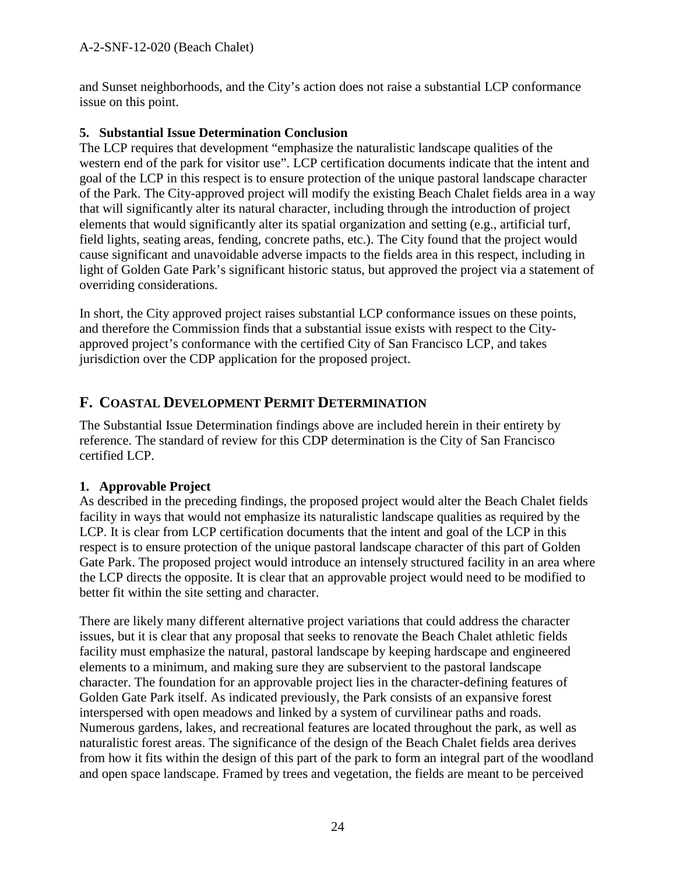and Sunset neighborhoods, and the City's action does not raise a substantial LCP conformance issue on this point.

#### **5. Substantial Issue Determination Conclusion**

The LCP requires that development "emphasize the naturalistic landscape qualities of the western end of the park for visitor use". LCP certification documents indicate that the intent and goal of the LCP in this respect is to ensure protection of the unique pastoral landscape character of the Park. The City-approved project will modify the existing Beach Chalet fields area in a way that will significantly alter its natural character, including through the introduction of project elements that would significantly alter its spatial organization and setting (e.g., artificial turf, field lights, seating areas, fending, concrete paths, etc.). The City found that the project would cause significant and unavoidable adverse impacts to the fields area in this respect, including in light of Golden Gate Park's significant historic status, but approved the project via a statement of overriding considerations.

In short, the City approved project raises substantial LCP conformance issues on these points, and therefore the Commission finds that a substantial issue exists with respect to the Cityapproved project's conformance with the certified City of San Francisco LCP, and takes jurisdiction over the CDP application for the proposed project.

### **F. COASTAL DEVELOPMENT PERMIT DETERMINATION**

The Substantial Issue Determination findings above are included herein in their entirety by reference. The standard of review for this CDP determination is the City of San Francisco certified LCP.

#### **1. Approvable Project**

As described in the preceding findings, the proposed project would alter the Beach Chalet fields facility in ways that would not emphasize its naturalistic landscape qualities as required by the LCP. It is clear from LCP certification documents that the intent and goal of the LCP in this respect is to ensure protection of the unique pastoral landscape character of this part of Golden Gate Park. The proposed project would introduce an intensely structured facility in an area where the LCP directs the opposite. It is clear that an approvable project would need to be modified to better fit within the site setting and character.

There are likely many different alternative project variations that could address the character issues, but it is clear that any proposal that seeks to renovate the Beach Chalet athletic fields facility must emphasize the natural, pastoral landscape by keeping hardscape and engineered elements to a minimum, and making sure they are subservient to the pastoral landscape character. The foundation for an approvable project lies in the character-defining features of Golden Gate Park itself. As indicated previously, the Park consists of an expansive forest interspersed with open meadows and linked by a system of curvilinear paths and roads. Numerous gardens, lakes, and recreational features are located throughout the park, as well as naturalistic forest areas. The significance of the design of the Beach Chalet fields area derives from how it fits within the design of this part of the park to form an integral part of the woodland and open space landscape. Framed by trees and vegetation, the fields are meant to be perceived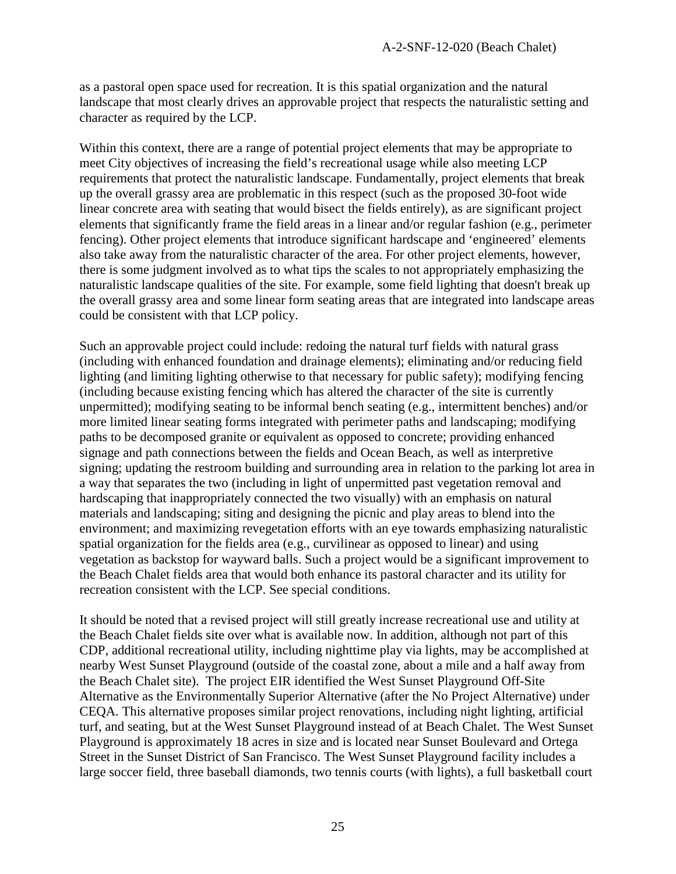as a pastoral open space used for recreation. It is this spatial organization and the natural landscape that most clearly drives an approvable project that respects the naturalistic setting and character as required by the LCP.

Within this context, there are a range of potential project elements that may be appropriate to meet City objectives of increasing the field's recreational usage while also meeting LCP requirements that protect the naturalistic landscape. Fundamentally, project elements that break up the overall grassy area are problematic in this respect (such as the proposed 30-foot wide linear concrete area with seating that would bisect the fields entirely), as are significant project elements that significantly frame the field areas in a linear and/or regular fashion (e.g., perimeter fencing). Other project elements that introduce significant hardscape and 'engineered' elements also take away from the naturalistic character of the area. For other project elements, however, there is some judgment involved as to what tips the scales to not appropriately emphasizing the naturalistic landscape qualities of the site. For example, some field lighting that doesn't break up the overall grassy area and some linear form seating areas that are integrated into landscape areas could be consistent with that LCP policy.

Such an approvable project could include: redoing the natural turf fields with natural grass (including with enhanced foundation and drainage elements); eliminating and/or reducing field lighting (and limiting lighting otherwise to that necessary for public safety); modifying fencing (including because existing fencing which has altered the character of the site is currently unpermitted); modifying seating to be informal bench seating (e.g., intermittent benches) and/or more limited linear seating forms integrated with perimeter paths and landscaping; modifying paths to be decomposed granite or equivalent as opposed to concrete; providing enhanced signage and path connections between the fields and Ocean Beach, as well as interpretive signing; updating the restroom building and surrounding area in relation to the parking lot area in a way that separates the two (including in light of unpermitted past vegetation removal and hardscaping that inappropriately connected the two visually) with an emphasis on natural materials and landscaping; siting and designing the picnic and play areas to blend into the environment; and maximizing revegetation efforts with an eye towards emphasizing naturalistic spatial organization for the fields area (e.g., curvilinear as opposed to linear) and using vegetation as backstop for wayward balls. Such a project would be a significant improvement to the Beach Chalet fields area that would both enhance its pastoral character and its utility for recreation consistent with the LCP. See special conditions.

It should be noted that a revised project will still greatly increase recreational use and utility at the Beach Chalet fields site over what is available now. In addition, although not part of this CDP, additional recreational utility, including nighttime play via lights, may be accomplished at nearby West Sunset Playground (outside of the coastal zone, about a mile and a half away from the Beach Chalet site). The project EIR identified the West Sunset Playground Off-Site Alternative as the Environmentally Superior Alternative (after the No Project Alternative) under CEQA. This alternative proposes similar project renovations, including night lighting, artificial turf, and seating, but at the West Sunset Playground instead of at Beach Chalet. The West Sunset Playground is approximately 18 acres in size and is located near Sunset Boulevard and Ortega Street in the Sunset District of San Francisco. The West Sunset Playground facility includes a large soccer field, three baseball diamonds, two tennis courts (with lights), a full basketball court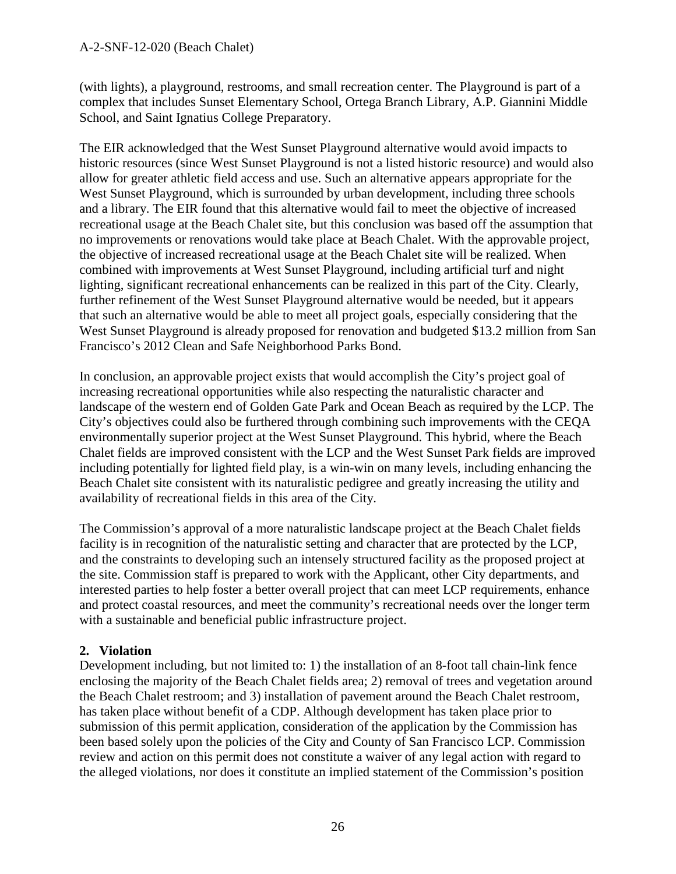(with lights), a playground, restrooms, and small recreation center. The Playground is part of a complex that includes Sunset Elementary School, Ortega Branch Library, A.P. Giannini Middle School, and Saint Ignatius College Preparatory.

The EIR acknowledged that the West Sunset Playground alternative would avoid impacts to historic resources (since West Sunset Playground is not a listed historic resource) and would also allow for greater athletic field access and use. Such an alternative appears appropriate for the West Sunset Playground, which is surrounded by urban development, including three schools and a library. The EIR found that this alternative would fail to meet the objective of increased recreational usage at the Beach Chalet site, but this conclusion was based off the assumption that no improvements or renovations would take place at Beach Chalet. With the approvable project, the objective of increased recreational usage at the Beach Chalet site will be realized. When combined with improvements at West Sunset Playground, including artificial turf and night lighting, significant recreational enhancements can be realized in this part of the City. Clearly, further refinement of the West Sunset Playground alternative would be needed, but it appears that such an alternative would be able to meet all project goals, especially considering that the West Sunset Playground is already proposed for renovation and budgeted \$13.2 million from San Francisco's 2012 Clean and Safe Neighborhood Parks Bond.

In conclusion, an approvable project exists that would accomplish the City's project goal of increasing recreational opportunities while also respecting the naturalistic character and landscape of the western end of Golden Gate Park and Ocean Beach as required by the LCP. The City's objectives could also be furthered through combining such improvements with the CEQA environmentally superior project at the West Sunset Playground. This hybrid, where the Beach Chalet fields are improved consistent with the LCP and the West Sunset Park fields are improved including potentially for lighted field play, is a win-win on many levels, including enhancing the Beach Chalet site consistent with its naturalistic pedigree and greatly increasing the utility and availability of recreational fields in this area of the City.

The Commission's approval of a more naturalistic landscape project at the Beach Chalet fields facility is in recognition of the naturalistic setting and character that are protected by the LCP, and the constraints to developing such an intensely structured facility as the proposed project at the site. Commission staff is prepared to work with the Applicant, other City departments, and interested parties to help foster a better overall project that can meet LCP requirements, enhance and protect coastal resources, and meet the community's recreational needs over the longer term with a sustainable and beneficial public infrastructure project.

#### **2. Violation**

Development including, but not limited to: 1) the installation of an 8-foot tall chain-link fence enclosing the majority of the Beach Chalet fields area; 2) removal of trees and vegetation around the Beach Chalet restroom; and 3) installation of pavement around the Beach Chalet restroom, has taken place without benefit of a CDP. Although development has taken place prior to submission of this permit application, consideration of the application by the Commission has been based solely upon the policies of the City and County of San Francisco LCP. Commission review and action on this permit does not constitute a waiver of any legal action with regard to the alleged violations, nor does it constitute an implied statement of the Commission's position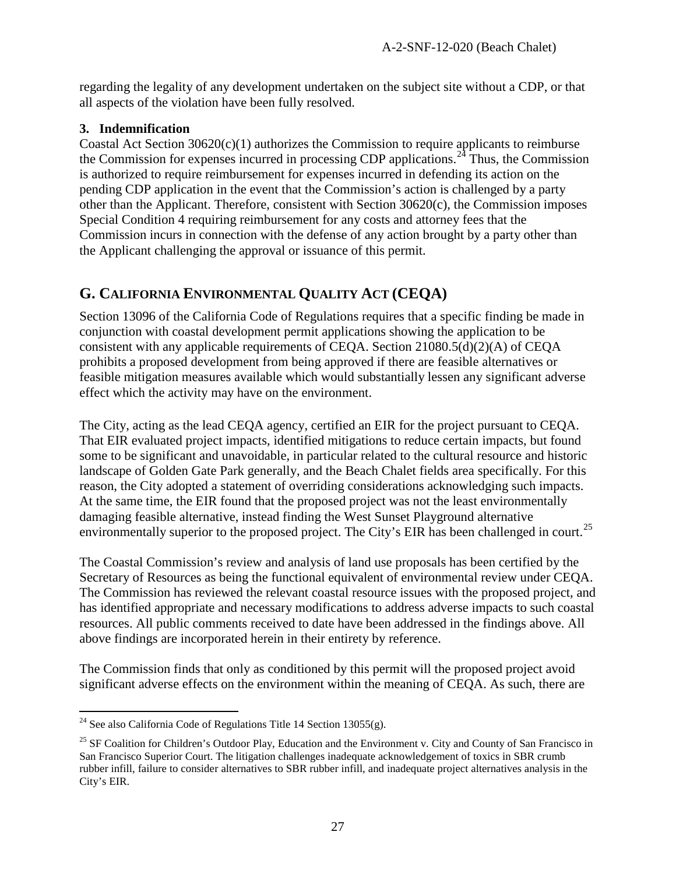regarding the legality of any development undertaken on the subject site without a CDP, or that all aspects of the violation have been fully resolved.

#### **3. Indemnification**

Coastal Act Section 30620(c)(1) authorizes the Commission to require applicants to reimburse the Commission for expenses incurred in processing CDP applications.<sup>[24](#page-26-0)</sup> Thus, the Commission is authorized to require reimbursement for expenses incurred in defending its action on the pending CDP application in the event that the Commission's action is challenged by a party other than the Applicant. Therefore, consistent with Section 30620(c), the Commission imposes Special Condition 4 requiring reimbursement for any costs and attorney fees that the Commission incurs in connection with the defense of any action brought by a party other than the Applicant challenging the approval or issuance of this permit.

### **G. CALIFORNIA ENVIRONMENTAL QUALITY ACT (CEQA)**

Section 13096 of the California Code of Regulations requires that a specific finding be made in conjunction with coastal development permit applications showing the application to be consistent with any applicable requirements of CEQA. Section 21080.5(d)(2)(A) of CEQA prohibits a proposed development from being approved if there are feasible alternatives or feasible mitigation measures available which would substantially lessen any significant adverse effect which the activity may have on the environment.

The City, acting as the lead CEQA agency, certified an EIR for the project pursuant to CEQA. That EIR evaluated project impacts, identified mitigations to reduce certain impacts, but found some to be significant and unavoidable, in particular related to the cultural resource and historic landscape of Golden Gate Park generally, and the Beach Chalet fields area specifically. For this reason, the City adopted a statement of overriding considerations acknowledging such impacts. At the same time, the EIR found that the proposed project was not the least environmentally damaging feasible alternative, instead finding the West Sunset Playground alternative environmentally superior to the proposed project. The City's EIR has been challenged in court.<sup>[25](#page-26-1)</sup>

The Coastal Commission's review and analysis of land use proposals has been certified by the Secretary of Resources as being the functional equivalent of environmental review under CEQA. The Commission has reviewed the relevant coastal resource issues with the proposed project, and has identified appropriate and necessary modifications to address adverse impacts to such coastal resources. All public comments received to date have been addressed in the findings above. All above findings are incorporated herein in their entirety by reference.

The Commission finds that only as conditioned by this permit will the proposed project avoid significant adverse effects on the environment within the meaning of CEQA. As such, there are

<span id="page-26-0"></span><sup>&</sup>lt;sup>24</sup> See also California Code of Regulations Title 14 Section 13055(g).

<span id="page-26-1"></span> $25$  SF Coalition for Children's Outdoor Play, Education and the Environment v. City and County of San Francisco in San Francisco Superior Court. The litigation challenges inadequate acknowledgement of toxics in SBR crumb rubber infill, failure to consider alternatives to SBR rubber infill, and inadequate project alternatives analysis in the City's EIR.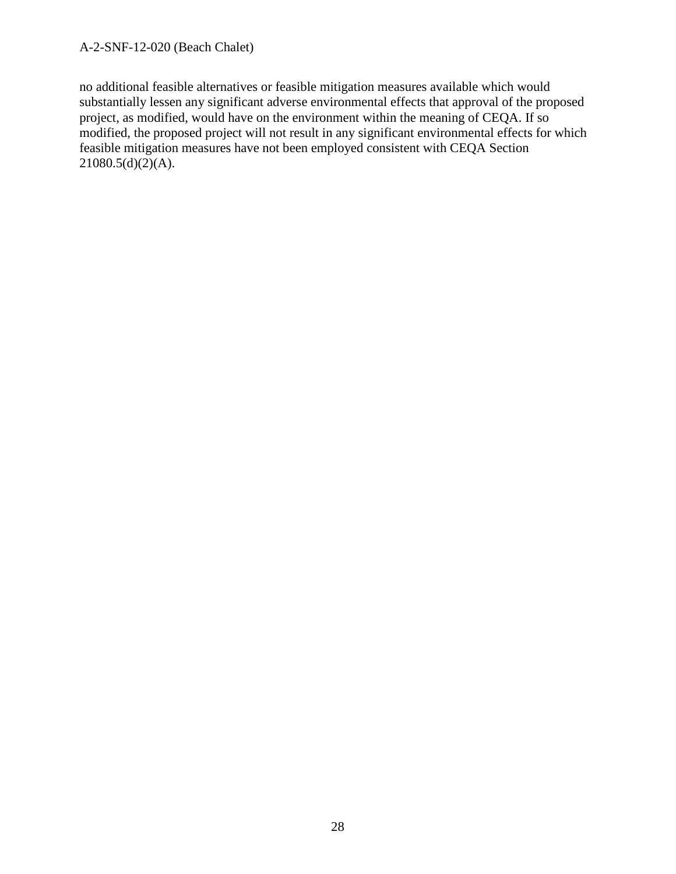no additional feasible alternatives or feasible mitigation measures available which would substantially lessen any significant adverse environmental effects that approval of the proposed project, as modified, would have on the environment within the meaning of CEQA. If so modified, the proposed project will not result in any significant environmental effects for which feasible mitigation measures have not been employed consistent with CEQA Section  $21080.5(d)(2)(A)$ .